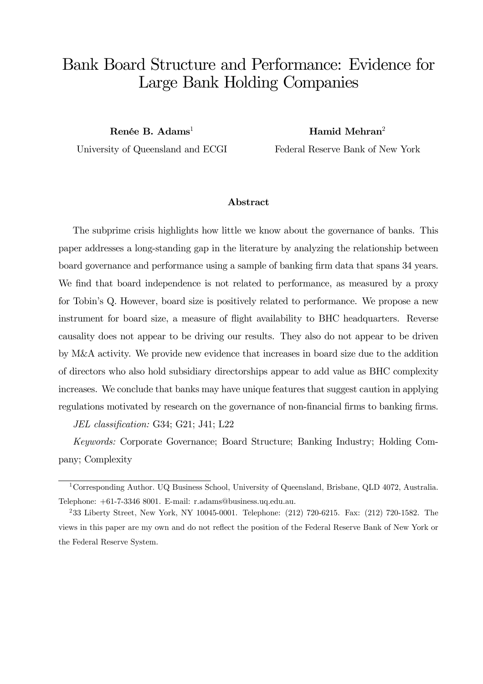# Bank Board Structure and Performance: Evidence for Large Bank Holding Companies

 $\mathrm{Ren\acute{e}e}$  B. Adams<sup>1</sup>

University of Queensland and ECGI

Hamid Mehran $2$ Federal Reserve Bank of New York

#### Abstract

The subprime crisis highlights how little we know about the governance of banks. This paper addresses a long-standing gap in the literature by analyzing the relationship between board governance and performance using a sample of banking firm data that spans 34 years. We find that board independence is not related to performance, as measured by a proxy for Tobin's Q. However, board size is positively related to performance. We propose a new instrument for board size, a measure of flight availability to BHC headquarters. Reverse causality does not appear to be driving our results. They also do not appear to be driven by M&A activity. We provide new evidence that increases in board size due to the addition of directors who also hold subsidiary directorships appear to add value as BHC complexity increases. We conclude that banks may have unique features that suggest caution in applying regulations motivated by research on the governance of non-financial firms to banking firms.

JEL classification: G34; G21; J41; L22

Keywords: Corporate Governance; Board Structure; Banking Industry; Holding Company; Complexity

<sup>&</sup>lt;sup>1</sup>Corresponding Author. UQ Business School, University of Queensland, Brisbane, QLD 4072, Australia. Telephone: +61-7-3346 8001. E-mail: r.adams@business.uq.edu.au.

<sup>2</sup> 33 Liberty Street, New York, NY 10045-0001. Telephone: (212) 720-6215. Fax: (212) 720-1582. The views in this paper are my own and do not reflect the position of the Federal Reserve Bank of New York or the Federal Reserve System.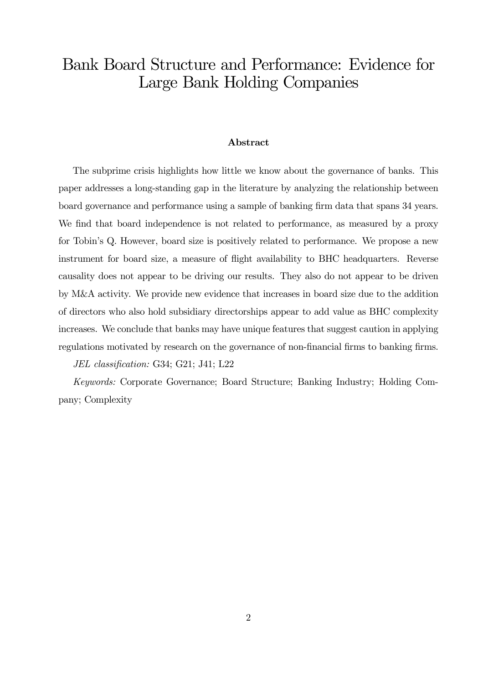# Bank Board Structure and Performance: Evidence for Large Bank Holding Companies

#### Abstract

The subprime crisis highlights how little we know about the governance of banks. This paper addresses a long-standing gap in the literature by analyzing the relationship between board governance and performance using a sample of banking firm data that spans 34 years. We find that board independence is not related to performance, as measured by a proxy for Tobin's Q. However, board size is positively related to performance. We propose a new instrument for board size, a measure of flight availability to BHC headquarters. Reverse causality does not appear to be driving our results. They also do not appear to be driven by M&A activity. We provide new evidence that increases in board size due to the addition of directors who also hold subsidiary directorships appear to add value as BHC complexity increases. We conclude that banks may have unique features that suggest caution in applying regulations motivated by research on the governance of non-financial firms to banking firms.

JEL classification: G34; G21; J41; L22

Keywords: Corporate Governance; Board Structure; Banking Industry; Holding Company; Complexity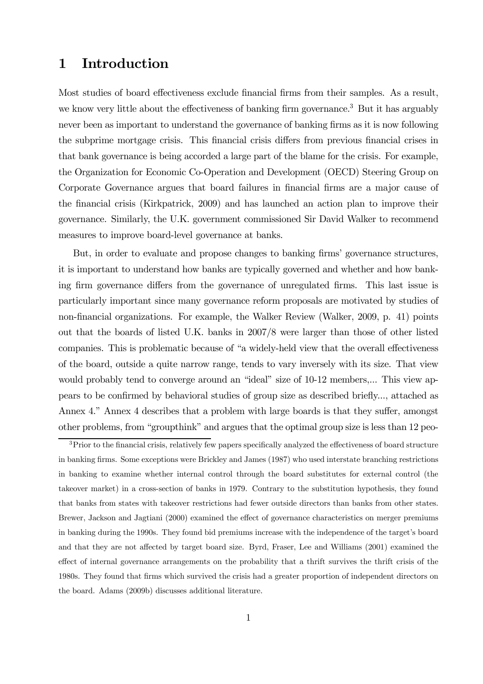# 1 Introduction

Most studies of board effectiveness exclude financial firms from their samples. As a result, we know very little about the effectiveness of banking firm governance.<sup>3</sup> But it has arguably never been as important to understand the governance of banking firms as it is now following the subprime mortgage crisis. This financial crisis differs from previous financial crises in that bank governance is being accorded a large part of the blame for the crisis. For example, the Organization for Economic Co-Operation and Development (OECD) Steering Group on Corporate Governance argues that board failures in financial firms are a major cause of the financial crisis (Kirkpatrick, 2009) and has launched an action plan to improve their governance. Similarly, the U.K. government commissioned Sir David Walker to recommend measures to improve board-level governance at banks.

But, in order to evaluate and propose changes to banking firms' governance structures, it is important to understand how banks are typically governed and whether and how banking firm governance differs from the governance of unregulated firms. This last issue is particularly important since many governance reform proposals are motivated by studies of non-financial organizations. For example, the Walker Review (Walker, 2009, p. 41) points out that the boards of listed U.K. banks in 2007/8 were larger than those of other listed companies. This is problematic because of "a widely-held view that the overall effectiveness of the board, outside a quite narrow range, tends to vary inversely with its size. That view would probably tend to converge around an "ideal" size of 10-12 members,... This view appears to be confirmed by behavioral studies of group size as described briefly..., attached as Annex 4." Annex 4 describes that a problem with large boards is that they suffer, amongst other problems, from "groupthink" and argues that the optimal group size is less than 12 peo-

<sup>&</sup>lt;sup>3</sup>Prior to the financial crisis, relatively few papers specifically analyzed the effectiveness of board structure in banking firms. Some exceptions were Brickley and James (1987) who used interstate branching restrictions in banking to examine whether internal control through the board substitutes for external control (the takeover market) in a cross-section of banks in 1979. Contrary to the substitution hypothesis, they found that banks from states with takeover restrictions had fewer outside directors than banks from other states. Brewer, Jackson and Jagtiani (2000) examined the effect of governance characteristics on merger premiums in banking during the 1990s. They found bid premiums increase with the independence of the target's board and that they are not affected by target board size. Byrd, Fraser, Lee and Williams (2001) examined the effect of internal governance arrangements on the probability that a thrift survives the thrift crisis of the 1980s. They found that firms which survived the crisis had a greater proportion of independent directors on the board. Adams (2009b) discusses additional literature.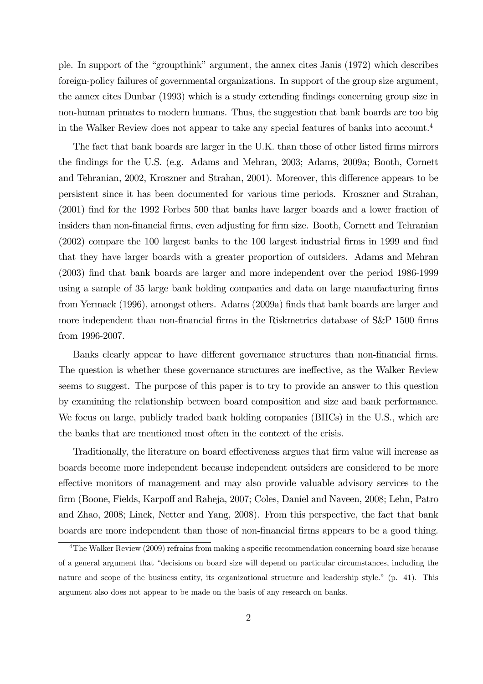ple. In support of the "groupthink" argument, the annex cites Janis (1972) which describes foreign-policy failures of governmental organizations. In support of the group size argument, the annex cites Dunbar (1993) which is a study extending findings concerning group size in non-human primates to modern humans. Thus, the suggestion that bank boards are too big in the Walker Review does not appear to take any special features of banks into account.4

The fact that bank boards are larger in the U.K. than those of other listed firms mirrors the findings for the U.S. (e.g. Adams and Mehran, 2003; Adams, 2009a; Booth, Cornett and Tehranian, 2002, Kroszner and Strahan, 2001). Moreover, this difference appears to be persistent since it has been documented for various time periods. Kroszner and Strahan, (2001) find for the 1992 Forbes 500 that banks have larger boards and a lower fraction of insiders than non-financial firms, even adjusting for firm size. Booth, Cornett and Tehranian (2002) compare the 100 largest banks to the 100 largest industrial firms in 1999 and find that they have larger boards with a greater proportion of outsiders. Adams and Mehran (2003) find that bank boards are larger and more independent over the period 1986-1999 using a sample of 35 large bank holding companies and data on large manufacturing firms from Yermack (1996), amongst others. Adams (2009a) finds that bank boards are larger and more independent than non-financial firms in the Riskmetrics database of S&P 1500 firms from 1996-2007.

Banks clearly appear to have different governance structures than non-financial firms. The question is whether these governance structures are ineffective, as the Walker Review seems to suggest. The purpose of this paper is to try to provide an answer to this question by examining the relationship between board composition and size and bank performance. We focus on large, publicly traded bank holding companies (BHCs) in the U.S., which are the banks that are mentioned most often in the context of the crisis.

Traditionally, the literature on board effectiveness argues that firm value will increase as boards become more independent because independent outsiders are considered to be more effective monitors of management and may also provide valuable advisory services to the firm (Boone, Fields, Karpoff and Raheja, 2007; Coles, Daniel and Naveen, 2008; Lehn, Patro and Zhao, 2008; Linck, Netter and Yang, 2008). From this perspective, the fact that bank boards are more independent than those of non-financial firms appears to be a good thing.

<sup>&</sup>lt;sup>4</sup>The Walker Review (2009) refrains from making a specific recommendation concerning board size because of a general argument that "decisions on board size will depend on particular circumstances, including the nature and scope of the business entity, its organizational structure and leadership style." (p. 41). This argument also does not appear to be made on the basis of any research on banks.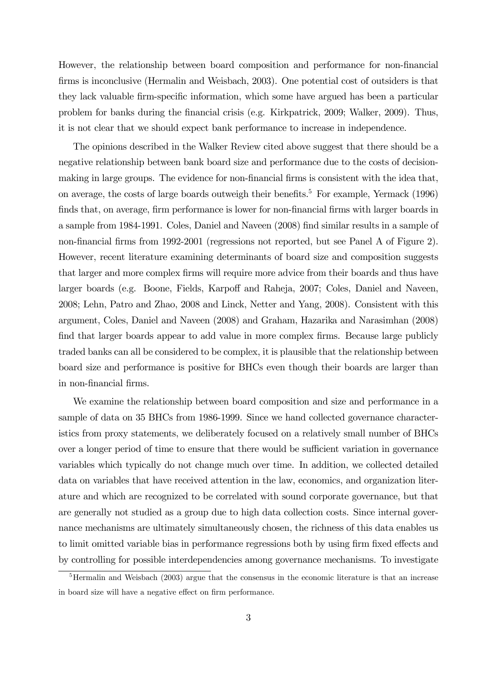However, the relationship between board composition and performance for non-financial firms is inconclusive (Hermalin and Weisbach, 2003). One potential cost of outsiders is that they lack valuable firm-specific information, which some have argued has been a particular problem for banks during the financial crisis (e.g. Kirkpatrick, 2009; Walker, 2009). Thus, it is not clear that we should expect bank performance to increase in independence.

The opinions described in the Walker Review cited above suggest that there should be a negative relationship between bank board size and performance due to the costs of decisionmaking in large groups. The evidence for non-financial firms is consistent with the idea that, on average, the costs of large boards outweigh their benefits.5 For example, Yermack (1996) finds that, on average, firm performance is lower for non-financial firms with larger boards in a sample from 1984-1991. Coles, Daniel and Naveen (2008) find similar results in a sample of non-financial firms from 1992-2001 (regressions not reported, but see Panel A of Figure 2). However, recent literature examining determinants of board size and composition suggests that larger and more complex firms will require more advice from their boards and thus have larger boards (e.g. Boone, Fields, Karpoff and Raheja, 2007; Coles, Daniel and Naveen, 2008; Lehn, Patro and Zhao, 2008 and Linck, Netter and Yang, 2008). Consistent with this argument, Coles, Daniel and Naveen (2008) and Graham, Hazarika and Narasimhan (2008) find that larger boards appear to add value in more complex firms. Because large publicly traded banks can all be considered to be complex, it is plausible that the relationship between board size and performance is positive for BHCs even though their boards are larger than in non-financial firms.

We examine the relationship between board composition and size and performance in a sample of data on 35 BHCs from 1986-1999. Since we hand collected governance characteristics from proxy statements, we deliberately focused on a relatively small number of BHCs over a longer period of time to ensure that there would be sufficient variation in governance variables which typically do not change much over time. In addition, we collected detailed data on variables that have received attention in the law, economics, and organization literature and which are recognized to be correlated with sound corporate governance, but that are generally not studied as a group due to high data collection costs. Since internal governance mechanisms are ultimately simultaneously chosen, the richness of this data enables us to limit omitted variable bias in performance regressions both by using firm fixed effects and by controlling for possible interdependencies among governance mechanisms. To investigate

 ${}^{5}$ Hermalin and Weisbach (2003) argue that the consensus in the economic literature is that an increase in board size will have a negative effect on firm performance.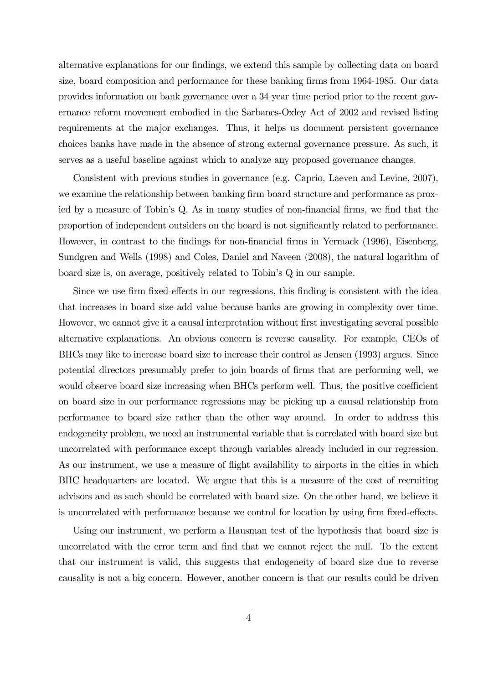alternative explanations for our findings, we extend this sample by collecting data on board size, board composition and performance for these banking firms from 1964-1985. Our data provides information on bank governance over a 34 year time period prior to the recent governance reform movement embodied in the Sarbanes-Oxley Act of 2002 and revised listing requirements at the major exchanges. Thus, it helps us document persistent governance choices banks have made in the absence of strong external governance pressure. As such, it serves as a useful baseline against which to analyze any proposed governance changes.

Consistent with previous studies in governance (e.g. Caprio, Laeven and Levine, 2007), we examine the relationship between banking firm board structure and performance as proxied by a measure of Tobin's Q. As in many studies of non-financial firms, we find that the proportion of independent outsiders on the board is not significantly related to performance. However, in contrast to the findings for non-financial firms in Yermack (1996), Eisenberg, Sundgren and Wells (1998) and Coles, Daniel and Naveen (2008), the natural logarithm of board size is, on average, positively related to Tobin's Q in our sample.

Since we use firm fixed-effects in our regressions, this finding is consistent with the idea that increases in board size add value because banks are growing in complexity over time. However, we cannot give it a causal interpretation without first investigating several possible alternative explanations. An obvious concern is reverse causality. For example, CEOs of BHCs may like to increase board size to increase their control as Jensen (1993) argues. Since potential directors presumably prefer to join boards of firms that are performing well, we would observe board size increasing when BHCs perform well. Thus, the positive coefficient on board size in our performance regressions may be picking up a causal relationship from performance to board size rather than the other way around. In order to address this endogeneity problem, we need an instrumental variable that is correlated with board size but uncorrelated with performance except through variables already included in our regression. As our instrument, we use a measure of flight availability to airports in the cities in which BHC headquarters are located. We argue that this is a measure of the cost of recruiting advisors and as such should be correlated with board size. On the other hand, we believe it is uncorrelated with performance because we control for location by using firm fixed-effects.

Using our instrument, we perform a Hausman test of the hypothesis that board size is uncorrelated with the error term and find that we cannot reject the null. To the extent that our instrument is valid, this suggests that endogeneity of board size due to reverse causality is not a big concern. However, another concern is that our results could be driven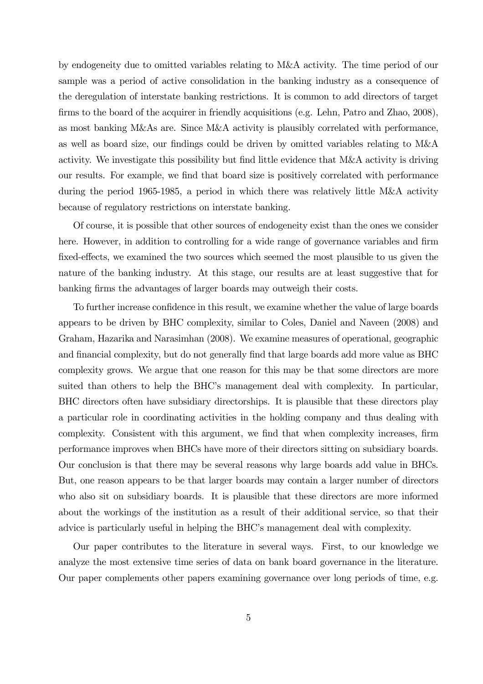by endogeneity due to omitted variables relating to M&A activity. The time period of our sample was a period of active consolidation in the banking industry as a consequence of the deregulation of interstate banking restrictions. It is common to add directors of target firms to the board of the acquirer in friendly acquisitions (e.g. Lehn, Patro and Zhao, 2008), as most banking M&As are. Since M&A activity is plausibly correlated with performance, as well as board size, our findings could be driven by omitted variables relating to M&A activity. We investigate this possibility but find little evidence that M&A activity is driving our results. For example, we find that board size is positively correlated with performance during the period 1965-1985, a period in which there was relatively little M&A activity because of regulatory restrictions on interstate banking.

Of course, it is possible that other sources of endogeneity exist than the ones we consider here. However, in addition to controlling for a wide range of governance variables and firm fixed-effects, we examined the two sources which seemed the most plausible to us given the nature of the banking industry. At this stage, our results are at least suggestive that for banking firms the advantages of larger boards may outweigh their costs.

To further increase confidence in this result, we examine whether the value of large boards appears to be driven by BHC complexity, similar to Coles, Daniel and Naveen (2008) and Graham, Hazarika and Narasimhan (2008). We examine measures of operational, geographic and financial complexity, but do not generally find that large boards add more value as BHC complexity grows. We argue that one reason for this may be that some directors are more suited than others to help the BHC's management deal with complexity. In particular, BHC directors often have subsidiary directorships. It is plausible that these directors play a particular role in coordinating activities in the holding company and thus dealing with complexity. Consistent with this argument, we find that when complexity increases, firm performance improves when BHCs have more of their directors sitting on subsidiary boards. Our conclusion is that there may be several reasons why large boards add value in BHCs. But, one reason appears to be that larger boards may contain a larger number of directors who also sit on subsidiary boards. It is plausible that these directors are more informed about the workings of the institution as a result of their additional service, so that their advice is particularly useful in helping the BHC's management deal with complexity.

Our paper contributes to the literature in several ways. First, to our knowledge we analyze the most extensive time series of data on bank board governance in the literature. Our paper complements other papers examining governance over long periods of time, e.g.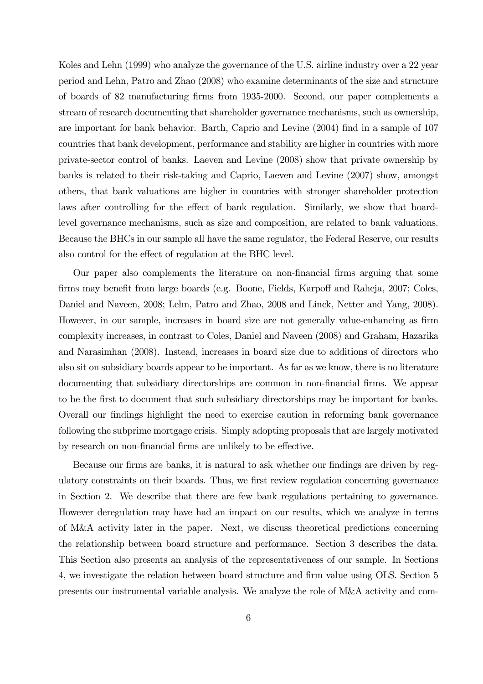Koles and Lehn (1999) who analyze the governance of the U.S. airline industry over a 22 year period and Lehn, Patro and Zhao (2008) who examine determinants of the size and structure of boards of 82 manufacturing firms from 1935-2000. Second, our paper complements a stream of research documenting that shareholder governance mechanisms, such as ownership, are important for bank behavior. Barth, Caprio and Levine (2004) find in a sample of 107 countries that bank development, performance and stability are higher in countries with more private-sector control of banks. Laeven and Levine (2008) show that private ownership by banks is related to their risk-taking and Caprio, Laeven and Levine (2007) show, amongst others, that bank valuations are higher in countries with stronger shareholder protection laws after controlling for the effect of bank regulation. Similarly, we show that boardlevel governance mechanisms, such as size and composition, are related to bank valuations. Because the BHCs in our sample all have the same regulator, the Federal Reserve, our results also control for the effect of regulation at the BHC level.

Our paper also complements the literature on non-financial firms arguing that some firms may benefit from large boards (e.g. Boone, Fields, Karpoff and Raheja, 2007; Coles, Daniel and Naveen, 2008; Lehn, Patro and Zhao, 2008 and Linck, Netter and Yang, 2008). However, in our sample, increases in board size are not generally value-enhancing as firm complexity increases, in contrast to Coles, Daniel and Naveen (2008) and Graham, Hazarika and Narasimhan (2008). Instead, increases in board size due to additions of directors who also sit on subsidiary boards appear to be important. As far as we know, there is no literature documenting that subsidiary directorships are common in non-financial firms. We appear to be the first to document that such subsidiary directorships may be important for banks. Overall our findings highlight the need to exercise caution in reforming bank governance following the subprime mortgage crisis. Simply adopting proposals that are largely motivated by research on non-financial firms are unlikely to be effective.

Because our firms are banks, it is natural to ask whether our findings are driven by regulatory constraints on their boards. Thus, we first review regulation concerning governance in Section 2. We describe that there are few bank regulations pertaining to governance. However deregulation may have had an impact on our results, which we analyze in terms of M&A activity later in the paper. Next, we discuss theoretical predictions concerning the relationship between board structure and performance. Section 3 describes the data. This Section also presents an analysis of the representativeness of our sample. In Sections 4, we investigate the relation between board structure and firm value using OLS. Section 5 presents our instrumental variable analysis. We analyze the role of M&A activity and com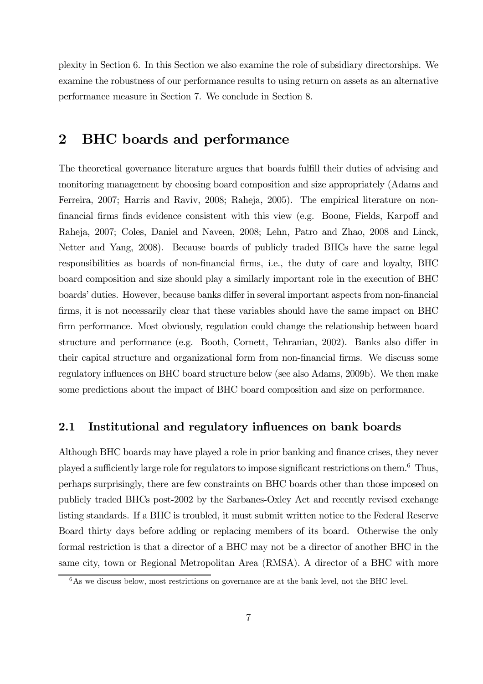plexity in Section 6. In this Section we also examine the role of subsidiary directorships. We examine the robustness of our performance results to using return on assets as an alternative performance measure in Section 7. We conclude in Section 8.

# 2 BHC boards and performance

The theoretical governance literature argues that boards fulfill their duties of advising and monitoring management by choosing board composition and size appropriately (Adams and Ferreira, 2007; Harris and Raviv, 2008; Raheja, 2005). The empirical literature on nonfinancial firms finds evidence consistent with this view (e.g. Boone, Fields, Karpoff and Raheja, 2007; Coles, Daniel and Naveen, 2008; Lehn, Patro and Zhao, 2008 and Linck, Netter and Yang, 2008). Because boards of publicly traded BHCs have the same legal responsibilities as boards of non-financial firms, i.e., the duty of care and loyalty, BHC board composition and size should play a similarly important role in the execution of BHC boards' duties. However, because banks differ in several important aspects from non-financial firms, it is not necessarily clear that these variables should have the same impact on BHC firm performance. Most obviously, regulation could change the relationship between board structure and performance (e.g. Booth, Cornett, Tehranian, 2002). Banks also differ in their capital structure and organizational form from non-financial firms. We discuss some regulatory influences on BHC board structure below (see also Adams, 2009b). We then make some predictions about the impact of BHC board composition and size on performance.

# 2.1 Institutional and regulatory influences on bank boards

Although BHC boards may have played a role in prior banking and finance crises, they never played a sufficiently large role for regulators to impose significant restrictions on them.6 Thus, perhaps surprisingly, there are few constraints on BHC boards other than those imposed on publicly traded BHCs post-2002 by the Sarbanes-Oxley Act and recently revised exchange listing standards. If a BHC is troubled, it must submit written notice to the Federal Reserve Board thirty days before adding or replacing members of its board. Otherwise the only formal restriction is that a director of a BHC may not be a director of another BHC in the same city, town or Regional Metropolitan Area (RMSA). A director of a BHC with more

 $6$ As we discuss below, most restrictions on governance are at the bank level, not the BHC level.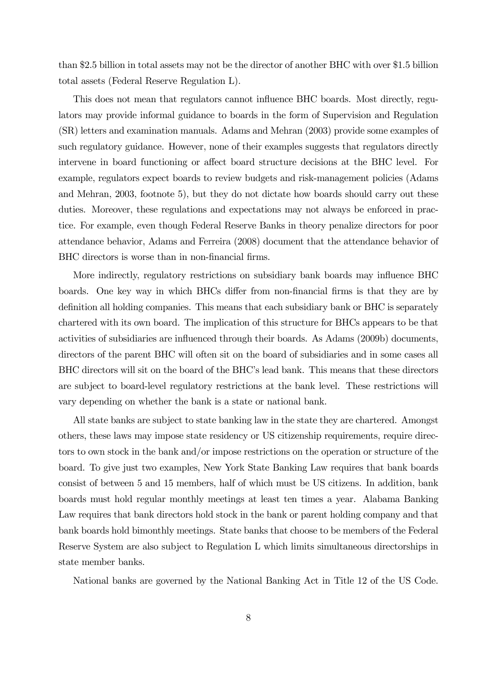than \$2.5 billion in total assets may not be the director of another BHC with over \$1.5 billion total assets (Federal Reserve Regulation L).

This does not mean that regulators cannot influence BHC boards. Most directly, regulators may provide informal guidance to boards in the form of Supervision and Regulation (SR) letters and examination manuals. Adams and Mehran (2003) provide some examples of such regulatory guidance. However, none of their examples suggests that regulators directly intervene in board functioning or affect board structure decisions at the BHC level. For example, regulators expect boards to review budgets and risk-management policies (Adams and Mehran, 2003, footnote 5), but they do not dictate how boards should carry out these duties. Moreover, these regulations and expectations may not always be enforced in practice. For example, even though Federal Reserve Banks in theory penalize directors for poor attendance behavior, Adams and Ferreira (2008) document that the attendance behavior of BHC directors is worse than in non-financial firms.

More indirectly, regulatory restrictions on subsidiary bank boards may influence BHC boards. One key way in which BHCs differ from non-financial firms is that they are by definition all holding companies. This means that each subsidiary bank or BHC is separately chartered with its own board. The implication of this structure for BHCs appears to be that activities of subsidiaries are influenced through their boards. As Adams (2009b) documents, directors of the parent BHC will often sit on the board of subsidiaries and in some cases all BHC directors will sit on the board of the BHC's lead bank. This means that these directors are subject to board-level regulatory restrictions at the bank level. These restrictions will vary depending on whether the bank is a state or national bank.

All state banks are subject to state banking law in the state they are chartered. Amongst others, these laws may impose state residency or US citizenship requirements, require directors to own stock in the bank and/or impose restrictions on the operation or structure of the board. To give just two examples, New York State Banking Law requires that bank boards consist of between 5 and 15 members, half of which must be US citizens. In addition, bank boards must hold regular monthly meetings at least ten times a year. Alabama Banking Law requires that bank directors hold stock in the bank or parent holding company and that bank boards hold bimonthly meetings. State banks that choose to be members of the Federal Reserve System are also subject to Regulation L which limits simultaneous directorships in state member banks.

National banks are governed by the National Banking Act in Title 12 of the US Code.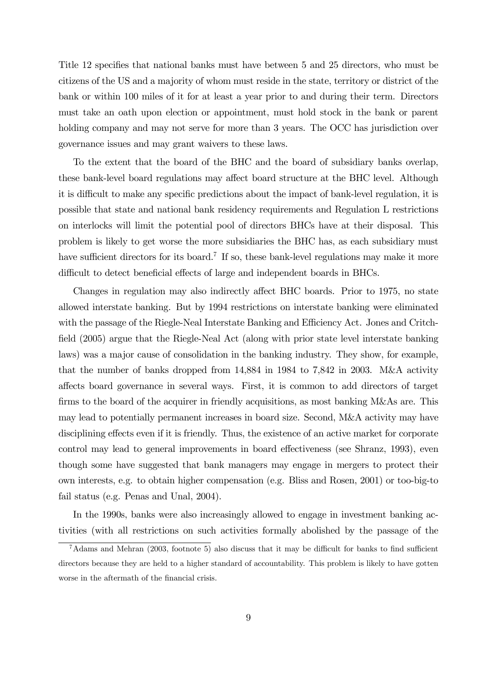Title 12 specifies that national banks must have between 5 and 25 directors, who must be citizens of the US and a majority of whom must reside in the state, territory or district of the bank or within 100 miles of it for at least a year prior to and during their term. Directors must take an oath upon election or appointment, must hold stock in the bank or parent holding company and may not serve for more than 3 years. The OCC has jurisdiction over governance issues and may grant waivers to these laws.

To the extent that the board of the BHC and the board of subsidiary banks overlap, these bank-level board regulations may affect board structure at the BHC level. Although it is difficult to make any specific predictions about the impact of bank-level regulation, it is possible that state and national bank residency requirements and Regulation L restrictions on interlocks will limit the potential pool of directors BHCs have at their disposal. This problem is likely to get worse the more subsidiaries the BHC has, as each subsidiary must have sufficient directors for its board.<sup>7</sup> If so, these bank-level regulations may make it more difficult to detect beneficial effects of large and independent boards in BHCs.

Changes in regulation may also indirectly affect BHC boards. Prior to 1975, no state allowed interstate banking. But by 1994 restrictions on interstate banking were eliminated with the passage of the Riegle-Neal Interstate Banking and Efficiency Act. Jones and Critchfield (2005) argue that the Riegle-Neal Act (along with prior state level interstate banking laws) was a major cause of consolidation in the banking industry. They show, for example, that the number of banks dropped from 14,884 in 1984 to 7,842 in 2003. M&A activity affects board governance in several ways. First, it is common to add directors of target firms to the board of the acquirer in friendly acquisitions, as most banking M&As are. This may lead to potentially permanent increases in board size. Second, M&A activity may have disciplining effects even if it is friendly. Thus, the existence of an active market for corporate control may lead to general improvements in board effectiveness (see Shranz, 1993), even though some have suggested that bank managers may engage in mergers to protect their own interests, e.g. to obtain higher compensation (e.g. Bliss and Rosen, 2001) or too-big-to fail status (e.g. Penas and Unal, 2004).

In the 1990s, banks were also increasingly allowed to engage in investment banking activities (with all restrictions on such activities formally abolished by the passage of the

 $^7$ Adams and Mehran (2003, footnote 5) also discuss that it may be difficult for banks to find sufficient directors because they are held to a higher standard of accountability. This problem is likely to have gotten worse in the aftermath of the financial crisis.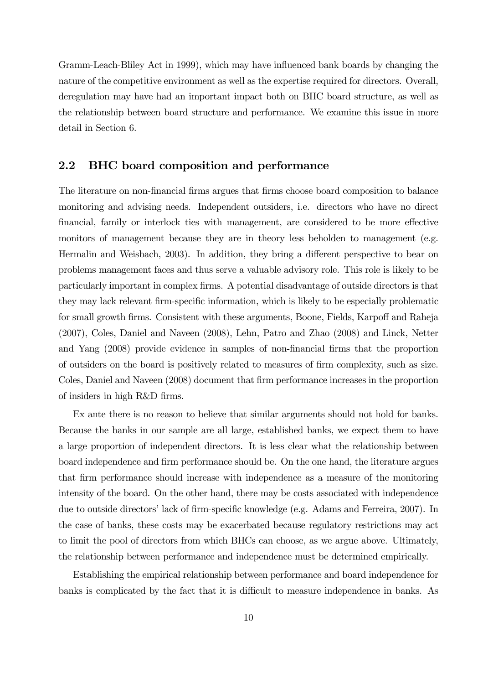Gramm-Leach-Bliley Act in 1999), which may have influenced bank boards by changing the nature of the competitive environment as well as the expertise required for directors. Overall, deregulation may have had an important impact both on BHC board structure, as well as the relationship between board structure and performance. We examine this issue in more detail in Section 6.

# 2.2 BHC board composition and performance

The literature on non-financial firms argues that firms choose board composition to balance monitoring and advising needs. Independent outsiders, i.e. directors who have no direct financial, family or interlock ties with management, are considered to be more effective monitors of management because they are in theory less beholden to management (e.g. Hermalin and Weisbach, 2003). In addition, they bring a different perspective to bear on problems management faces and thus serve a valuable advisory role. This role is likely to be particularly important in complex firms. A potential disadvantage of outside directors is that they may lack relevant firm-specific information, which is likely to be especially problematic for small growth firms. Consistent with these arguments, Boone, Fields, Karpoff and Raheja (2007), Coles, Daniel and Naveen (2008), Lehn, Patro and Zhao (2008) and Linck, Netter and Yang (2008) provide evidence in samples of non-financial firms that the proportion of outsiders on the board is positively related to measures of firm complexity, such as size. Coles, Daniel and Naveen (2008) document that firm performance increases in the proportion of insiders in high R&D firms.

Ex ante there is no reason to believe that similar arguments should not hold for banks. Because the banks in our sample are all large, established banks, we expect them to have a large proportion of independent directors. It is less clear what the relationship between board independence and firm performance should be. On the one hand, the literature argues that firm performance should increase with independence as a measure of the monitoring intensity of the board. On the other hand, there may be costs associated with independence due to outside directors' lack of firm-specific knowledge (e.g. Adams and Ferreira, 2007). In the case of banks, these costs may be exacerbated because regulatory restrictions may act to limit the pool of directors from which BHCs can choose, as we argue above. Ultimately, the relationship between performance and independence must be determined empirically.

Establishing the empirical relationship between performance and board independence for banks is complicated by the fact that it is difficult to measure independence in banks. As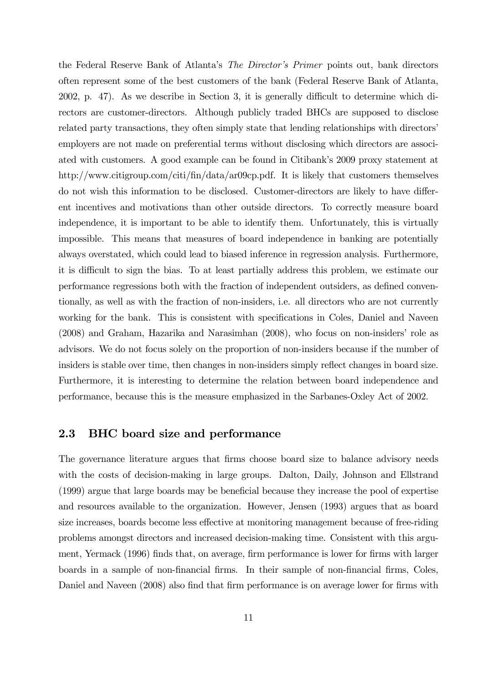the Federal Reserve Bank of Atlanta's The Director's Primer points out, bank directors often represent some of the best customers of the bank (Federal Reserve Bank of Atlanta, 2002, p. 47). As we describe in Section 3, it is generally difficult to determine which directors are customer-directors. Although publicly traded BHCs are supposed to disclose related party transactions, they often simply state that lending relationships with directors' employers are not made on preferential terms without disclosing which directors are associated with customers. A good example can be found in Citibank's 2009 proxy statement at http://www.citigroup.com/citi/fin/data/ar09cp.pdf. It is likely that customers themselves do not wish this information to be disclosed. Customer-directors are likely to have different incentives and motivations than other outside directors. To correctly measure board independence, it is important to be able to identify them. Unfortunately, this is virtually impossible. This means that measures of board independence in banking are potentially always overstated, which could lead to biased inference in regression analysis. Furthermore, it is difficult to sign the bias. To at least partially address this problem, we estimate our performance regressions both with the fraction of independent outsiders, as defined conventionally, as well as with the fraction of non-insiders, i.e. all directors who are not currently working for the bank. This is consistent with specifications in Coles, Daniel and Naveen (2008) and Graham, Hazarika and Narasimhan (2008), who focus on non-insiders' role as advisors. We do not focus solely on the proportion of non-insiders because if the number of insiders is stable over time, then changes in non-insiders simply reflect changes in board size. Furthermore, it is interesting to determine the relation between board independence and performance, because this is the measure emphasized in the Sarbanes-Oxley Act of 2002.

# 2.3 BHC board size and performance

The governance literature argues that firms choose board size to balance advisory needs with the costs of decision-making in large groups. Dalton, Daily, Johnson and Ellstrand (1999) argue that large boards may be beneficial because they increase the pool of expertise and resources available to the organization. However, Jensen (1993) argues that as board size increases, boards become less effective at monitoring management because of free-riding problems amongst directors and increased decision-making time. Consistent with this argument, Yermack (1996) finds that, on average, firm performance is lower for firms with larger boards in a sample of non-financial firms. In their sample of non-financial firms, Coles, Daniel and Naveen (2008) also find that firm performance is on average lower for firms with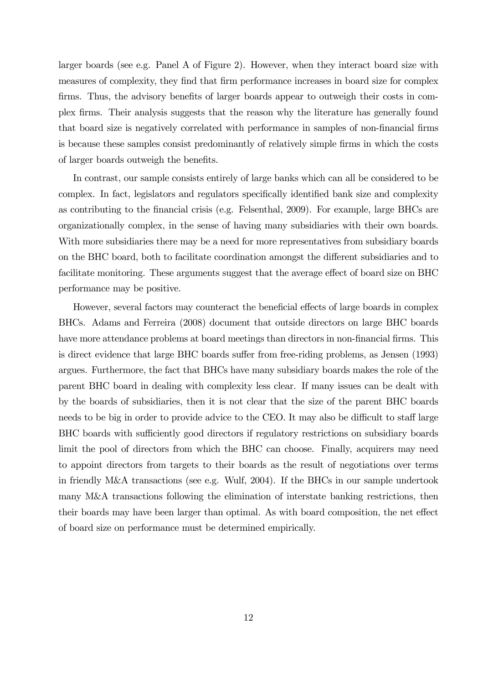larger boards (see e.g. Panel A of Figure 2). However, when they interact board size with measures of complexity, they find that firm performance increases in board size for complex firms. Thus, the advisory benefits of larger boards appear to outweigh their costs in complex firms. Their analysis suggests that the reason why the literature has generally found that board size is negatively correlated with performance in samples of non-financial firms is because these samples consist predominantly of relatively simple firms in which the costs of larger boards outweigh the benefits.

In contrast, our sample consists entirely of large banks which can all be considered to be complex. In fact, legislators and regulators specifically identified bank size and complexity as contributing to the financial crisis (e.g. Felsenthal, 2009). For example, large BHCs are organizationally complex, in the sense of having many subsidiaries with their own boards. With more subsidiaries there may be a need for more representatives from subsidiary boards on the BHC board, both to facilitate coordination amongst the different subsidiaries and to facilitate monitoring. These arguments suggest that the average effect of board size on BHC performance may be positive.

However, several factors may counteract the beneficial effects of large boards in complex BHCs. Adams and Ferreira (2008) document that outside directors on large BHC boards have more attendance problems at board meetings than directors in non-financial firms. This is direct evidence that large BHC boards suffer from free-riding problems, as Jensen (1993) argues. Furthermore, the fact that BHCs have many subsidiary boards makes the role of the parent BHC board in dealing with complexity less clear. If many issues can be dealt with by the boards of subsidiaries, then it is not clear that the size of the parent BHC boards needs to be big in order to provide advice to the CEO. It may also be difficult to staff large BHC boards with sufficiently good directors if regulatory restrictions on subsidiary boards limit the pool of directors from which the BHC can choose. Finally, acquirers may need to appoint directors from targets to their boards as the result of negotiations over terms in friendly M&A transactions (see e.g. Wulf, 2004). If the BHCs in our sample undertook many M&A transactions following the elimination of interstate banking restrictions, then their boards may have been larger than optimal. As with board composition, the net effect of board size on performance must be determined empirically.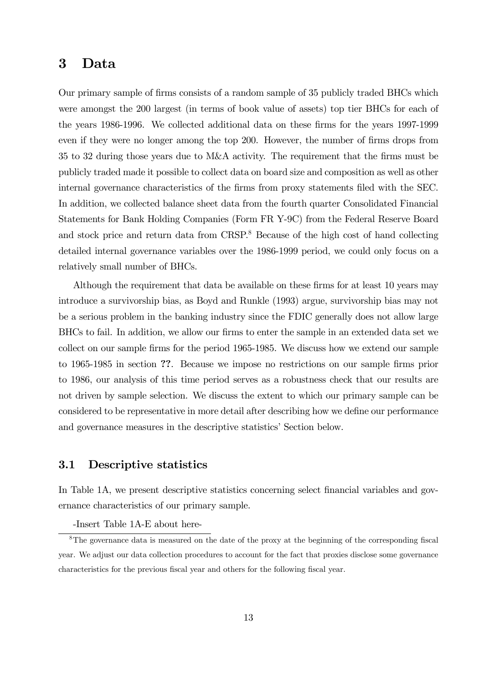# 3 Data

Our primary sample of firms consists of a random sample of 35 publicly traded BHCs which were amongst the 200 largest (in terms of book value of assets) top tier BHCs for each of the years 1986-1996. We collected additional data on these firms for the years 1997-1999 even if they were no longer among the top 200. However, the number of firms drops from 35 to 32 during those years due to M&A activity. The requirement that the firms must be publicly traded made it possible to collect data on board size and composition as well as other internal governance characteristics of the firms from proxy statements filed with the SEC. In addition, we collected balance sheet data from the fourth quarter Consolidated Financial Statements for Bank Holding Companies (Form FR Y-9C) from the Federal Reserve Board and stock price and return data from CRSP.8 Because of the high cost of hand collecting detailed internal governance variables over the 1986-1999 period, we could only focus on a relatively small number of BHCs.

Although the requirement that data be available on these firms for at least 10 years may introduce a survivorship bias, as Boyd and Runkle (1993) argue, survivorship bias may not be a serious problem in the banking industry since the FDIC generally does not allow large BHCs to fail. In addition, we allow our firms to enter the sample in an extended data set we collect on our sample firms for the period 1965-1985. We discuss how we extend our sample to 1965-1985 in section ??. Because we impose no restrictions on our sample firms prior to 1986, our analysis of this time period serves as a robustness check that our results are not driven by sample selection. We discuss the extent to which our primary sample can be considered to be representative in more detail after describing how we define our performance and governance measures in the descriptive statistics' Section below.

# 3.1 Descriptive statistics

In Table 1A, we present descriptive statistics concerning select financial variables and governance characteristics of our primary sample.

<sup>-</sup>Insert Table 1A-E about here-

<sup>&</sup>lt;sup>8</sup>The governance data is measured on the date of the proxy at the beginning of the corresponding fiscal year. We adjust our data collection procedures to account for the fact that proxies disclose some governance characteristics for the previous fiscal year and others for the following fiscal year.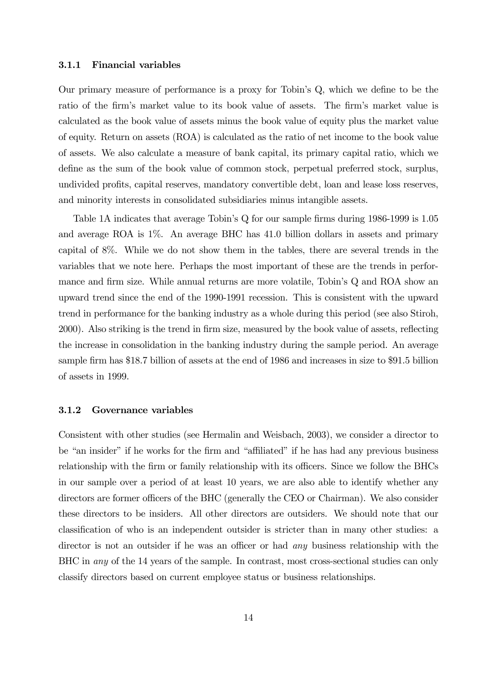#### 3.1.1 Financial variables

Our primary measure of performance is a proxy for Tobin's Q, which we define to be the ratio of the firm's market value to its book value of assets. The firm's market value is calculated as the book value of assets minus the book value of equity plus the market value of equity. Return on assets (ROA) is calculated as the ratio of net income to the book value of assets. We also calculate a measure of bank capital, its primary capital ratio, which we define as the sum of the book value of common stock, perpetual preferred stock, surplus, undivided profits, capital reserves, mandatory convertible debt, loan and lease loss reserves, and minority interests in consolidated subsidiaries minus intangible assets.

Table 1A indicates that average Tobin's Q for our sample firms during 1986-1999 is 1.05 and average ROA is 1%. An average BHC has 41.0 billion dollars in assets and primary capital of 8%. While we do not show them in the tables, there are several trends in the variables that we note here. Perhaps the most important of these are the trends in performance and firm size. While annual returns are more volatile, Tobin's Q and ROA show an upward trend since the end of the 1990-1991 recession. This is consistent with the upward trend in performance for the banking industry as a whole during this period (see also Stiroh, 2000). Also striking is the trend in firm size, measured by the book value of assets, reflecting the increase in consolidation in the banking industry during the sample period. An average sample firm has \$18.7 billion of assets at the end of 1986 and increases in size to \$91.5 billion of assets in 1999.

#### 3.1.2 Governance variables

Consistent with other studies (see Hermalin and Weisbach, 2003), we consider a director to be "an insider" if he works for the firm and "affiliated" if he has had any previous business relationship with the firm or family relationship with its officers. Since we follow the BHCs in our sample over a period of at least 10 years, we are also able to identify whether any directors are former officers of the BHC (generally the CEO or Chairman). We also consider these directors to be insiders. All other directors are outsiders. We should note that our classification of who is an independent outsider is stricter than in many other studies: a director is not an outsider if he was an officer or had *any* business relationship with the BHC in any of the 14 years of the sample. In contrast, most cross-sectional studies can only classify directors based on current employee status or business relationships.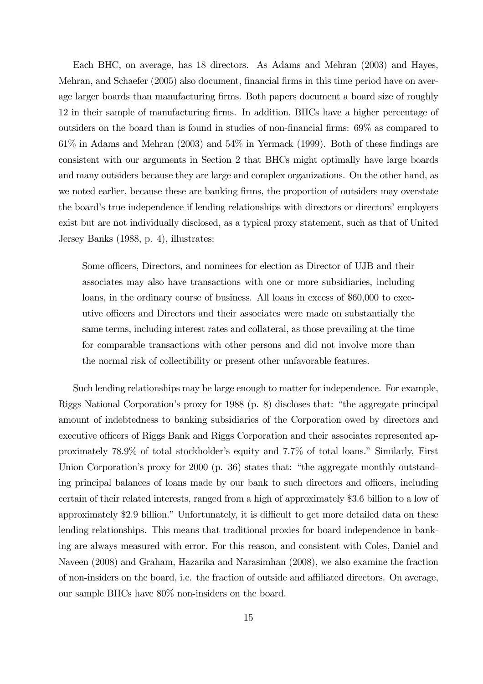Each BHC, on average, has 18 directors. As Adams and Mehran (2003) and Hayes, Mehran, and Schaefer (2005) also document, financial firms in this time period have on average larger boards than manufacturing firms. Both papers document a board size of roughly 12 in their sample of manufacturing firms. In addition, BHCs have a higher percentage of outsiders on the board than is found in studies of non-financial firms: 69% as compared to 61% in Adams and Mehran (2003) and 54% in Yermack (1999). Both of these findings are consistent with our arguments in Section 2 that BHCs might optimally have large boards and many outsiders because they are large and complex organizations. On the other hand, as we noted earlier, because these are banking firms, the proportion of outsiders may overstate the board's true independence if lending relationships with directors or directors' employers exist but are not individually disclosed, as a typical proxy statement, such as that of United Jersey Banks (1988, p. 4), illustrates:

Some officers, Directors, and nominees for election as Director of UJB and their associates may also have transactions with one or more subsidiaries, including loans, in the ordinary course of business. All loans in excess of \$60,000 to executive officers and Directors and their associates were made on substantially the same terms, including interest rates and collateral, as those prevailing at the time for comparable transactions with other persons and did not involve more than the normal risk of collectibility or present other unfavorable features.

Such lending relationships may be large enough to matter for independence. For example, Riggs National Corporation's proxy for 1988 (p. 8) discloses that: "the aggregate principal amount of indebtedness to banking subsidiaries of the Corporation owed by directors and executive officers of Riggs Bank and Riggs Corporation and their associates represented approximately 78.9% of total stockholder's equity and 7.7% of total loans." Similarly, First Union Corporation's proxy for 2000 (p. 36) states that: "the aggregate monthly outstanding principal balances of loans made by our bank to such directors and officers, including certain of their related interests, ranged from a high of approximately \$3.6 billion to a low of approximately \$2.9 billion." Unfortunately, it is difficult to get more detailed data on these lending relationships. This means that traditional proxies for board independence in banking are always measured with error. For this reason, and consistent with Coles, Daniel and Naveen (2008) and Graham, Hazarika and Narasimhan (2008), we also examine the fraction of non-insiders on the board, i.e. the fraction of outside and affiliated directors. On average, our sample BHCs have 80% non-insiders on the board.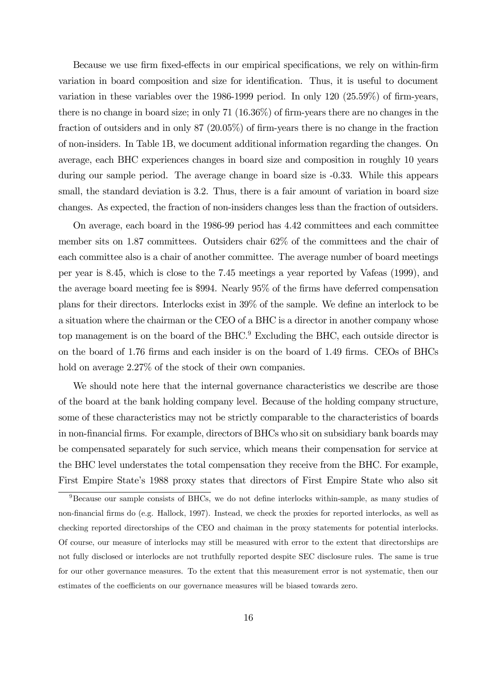Because we use firm fixed-effects in our empirical specifications, we rely on within-firm variation in board composition and size for identification. Thus, it is useful to document variation in these variables over the 1986-1999 period. In only 120 (25.59%) of firm-years, there is no change in board size; in only 71 (16.36%) of firm-years there are no changes in the fraction of outsiders and in only 87 (20.05%) of firm-years there is no change in the fraction of non-insiders. In Table 1B, we document additional information regarding the changes. On average, each BHC experiences changes in board size and composition in roughly 10 years during our sample period. The average change in board size is -0.33. While this appears small, the standard deviation is 3.2. Thus, there is a fair amount of variation in board size changes. As expected, the fraction of non-insiders changes less than the fraction of outsiders.

On average, each board in the 1986-99 period has 4.42 committees and each committee member sits on 1.87 committees. Outsiders chair 62% of the committees and the chair of each committee also is a chair of another committee. The average number of board meetings per year is 8.45, which is close to the 7.45 meetings a year reported by Vafeas (1999), and the average board meeting fee is \$994. Nearly 95% of the firms have deferred compensation plans for their directors. Interlocks exist in 39% of the sample. We define an interlock to be a situation where the chairman or the CEO of a BHC is a director in another company whose top management is on the board of the BHC.<sup>9</sup> Excluding the BHC, each outside director is on the board of 1.76 firms and each insider is on the board of 1.49 firms. CEOs of BHCs hold on average  $2.27\%$  of the stock of their own companies.

We should note here that the internal governance characteristics we describe are those of the board at the bank holding company level. Because of the holding company structure, some of these characteristics may not be strictly comparable to the characteristics of boards in non-financial firms. For example, directors of BHCs who sit on subsidiary bank boards may be compensated separately for such service, which means their compensation for service at the BHC level understates the total compensation they receive from the BHC. For example, First Empire State's 1988 proxy states that directors of First Empire State who also sit

 $9B$ ecause our sample consists of BHCs, we do not define interlocks within-sample, as many studies of non-financial firms do (e.g. Hallock, 1997). Instead, we check the proxies for reported interlocks, as well as checking reported directorships of the CEO and chaiman in the proxy statements for potential interlocks. Of course, our measure of interlocks may still be measured with error to the extent that directorships are not fully disclosed or interlocks are not truthfully reported despite SEC disclosure rules. The same is true for our other governance measures. To the extent that this measurement error is not systematic, then our estimates of the coefficients on our governance measures will be biased towards zero.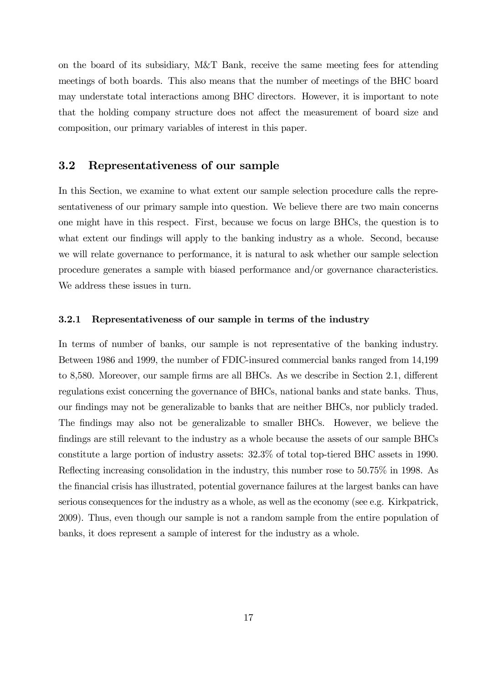on the board of its subsidiary, M&T Bank, receive the same meeting fees for attending meetings of both boards. This also means that the number of meetings of the BHC board may understate total interactions among BHC directors. However, it is important to note that the holding company structure does not affect the measurement of board size and composition, our primary variables of interest in this paper.

# 3.2 Representativeness of our sample

In this Section, we examine to what extent our sample selection procedure calls the representativeness of our primary sample into question. We believe there are two main concerns one might have in this respect. First, because we focus on large BHCs, the question is to what extent our findings will apply to the banking industry as a whole. Second, because we will relate governance to performance, it is natural to ask whether our sample selection procedure generates a sample with biased performance and/or governance characteristics. We address these issues in turn.

#### 3.2.1 Representativeness of our sample in terms of the industry

In terms of number of banks, our sample is not representative of the banking industry. Between 1986 and 1999, the number of FDIC-insured commercial banks ranged from 14,199 to 8,580. Moreover, our sample firms are all BHCs. As we describe in Section 2.1, different regulations exist concerning the governance of BHCs, national banks and state banks. Thus, our findings may not be generalizable to banks that are neither BHCs, nor publicly traded. The findings may also not be generalizable to smaller BHCs. However, we believe the findings are still relevant to the industry as a whole because the assets of our sample BHCs constitute a large portion of industry assets: 32.3% of total top-tiered BHC assets in 1990. Reflecting increasing consolidation in the industry, this number rose to 50.75% in 1998. As the financial crisis has illustrated, potential governance failures at the largest banks can have serious consequences for the industry as a whole, as well as the economy (see e.g. Kirkpatrick, 2009). Thus, even though our sample is not a random sample from the entire population of banks, it does represent a sample of interest for the industry as a whole.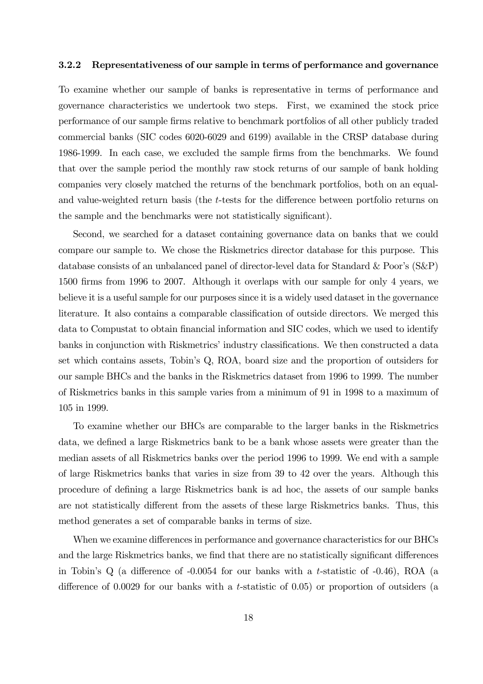#### 3.2.2 Representativeness of our sample in terms of performance and governance

To examine whether our sample of banks is representative in terms of performance and governance characteristics we undertook two steps. First, we examined the stock price performance of our sample firms relative to benchmark portfolios of all other publicly traded commercial banks (SIC codes 6020-6029 and 6199) available in the CRSP database during 1986-1999. In each case, we excluded the sample firms from the benchmarks. We found that over the sample period the monthly raw stock returns of our sample of bank holding companies very closely matched the returns of the benchmark portfolios, both on an equaland value-weighted return basis (the t-tests for the difference between portfolio returns on the sample and the benchmarks were not statistically significant).

Second, we searched for a dataset containing governance data on banks that we could compare our sample to. We chose the Riskmetrics director database for this purpose. This database consists of an unbalanced panel of director-level data for Standard & Poor's (S&P) 1500 firms from 1996 to 2007. Although it overlaps with our sample for only 4 years, we believe it is a useful sample for our purposes since it is a widely used dataset in the governance literature. It also contains a comparable classification of outside directors. We merged this data to Compustat to obtain financial information and SIC codes, which we used to identify banks in conjunction with Riskmetrics' industry classifications. We then constructed a data set which contains assets, Tobin's Q, ROA, board size and the proportion of outsiders for our sample BHCs and the banks in the Riskmetrics dataset from 1996 to 1999. The number of Riskmetrics banks in this sample varies from a minimum of 91 in 1998 to a maximum of 105 in 1999.

To examine whether our BHCs are comparable to the larger banks in the Riskmetrics data, we defined a large Riskmetrics bank to be a bank whose assets were greater than the median assets of all Riskmetrics banks over the period 1996 to 1999. We end with a sample of large Riskmetrics banks that varies in size from 39 to 42 over the years. Although this procedure of defining a large Riskmetrics bank is ad hoc, the assets of our sample banks are not statistically different from the assets of these large Riskmetrics banks. Thus, this method generates a set of comparable banks in terms of size.

When we examine differences in performance and governance characteristics for our BHCs and the large Riskmetrics banks, we find that there are no statistically significant differences in Tobin's  $Q$  (a difference of  $-0.0054$  for our banks with a t-statistic of  $-0.46$ ), ROA (a difference of 0.0029 for our banks with a t-statistic of 0.05) or proportion of outsiders (a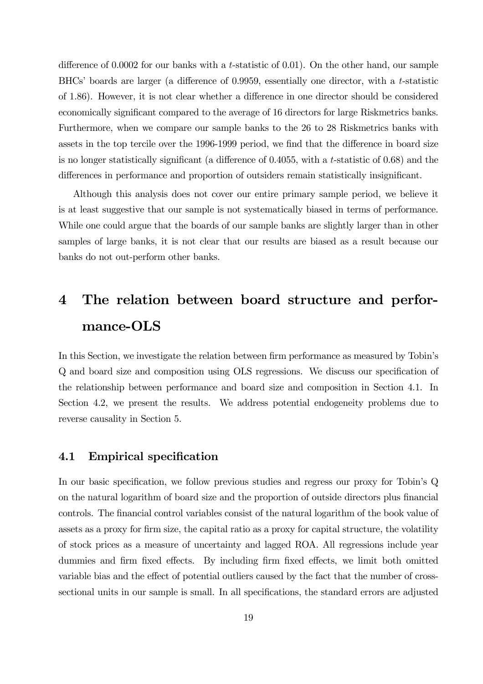difference of 0.0002 for our banks with a t-statistic of 0.01). On the other hand, our sample BHCs' boards are larger (a difference of 0.9959, essentially one director, with a t-statistic of 1.86). However, it is not clear whether a difference in one director should be considered economically significant compared to the average of 16 directors for large Riskmetrics banks. Furthermore, when we compare our sample banks to the 26 to 28 Riskmetrics banks with assets in the top tercile over the 1996-1999 period, we find that the difference in board size is no longer statistically significant (a difference of 0.4055, with a t-statistic of  $(0.68)$ ) and the differences in performance and proportion of outsiders remain statistically insignificant.

Although this analysis does not cover our entire primary sample period, we believe it is at least suggestive that our sample is not systematically biased in terms of performance. While one could argue that the boards of our sample banks are slightly larger than in other samples of large banks, it is not clear that our results are biased as a result because our banks do not out-perform other banks.

# 4 The relation between board structure and performance-OLS

In this Section, we investigate the relation between firm performance as measured by Tobin's Q and board size and composition using OLS regressions. We discuss our specification of the relationship between performance and board size and composition in Section 4.1. In Section 4.2, we present the results. We address potential endogeneity problems due to reverse causality in Section 5.

#### 4.1 Empirical specification

In our basic specification, we follow previous studies and regress our proxy for Tobin's Q on the natural logarithm of board size and the proportion of outside directors plus financial controls. The financial control variables consist of the natural logarithm of the book value of assets as a proxy for firm size, the capital ratio as a proxy for capital structure, the volatility of stock prices as a measure of uncertainty and lagged ROA. All regressions include year dummies and firm fixed effects. By including firm fixed effects, we limit both omitted variable bias and the effect of potential outliers caused by the fact that the number of crosssectional units in our sample is small. In all specifications, the standard errors are adjusted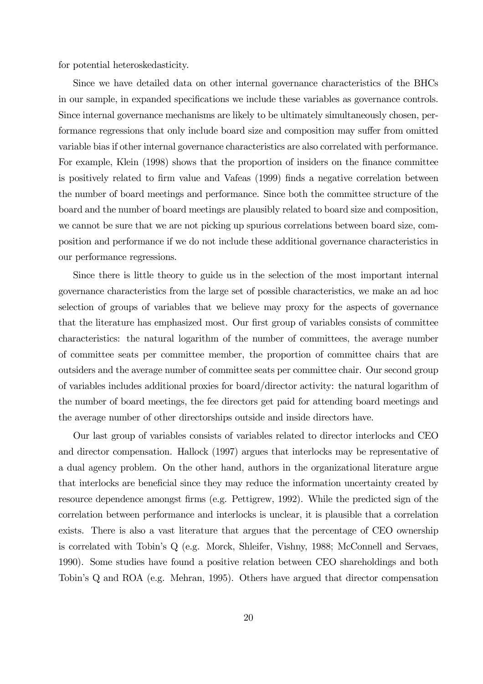for potential heteroskedasticity.

Since we have detailed data on other internal governance characteristics of the BHCs in our sample, in expanded specifications we include these variables as governance controls. Since internal governance mechanisms are likely to be ultimately simultaneously chosen, performance regressions that only include board size and composition may suffer from omitted variable bias if other internal governance characteristics are also correlated with performance. For example, Klein (1998) shows that the proportion of insiders on the finance committee is positively related to firm value and Vafeas (1999) finds a negative correlation between the number of board meetings and performance. Since both the committee structure of the board and the number of board meetings are plausibly related to board size and composition, we cannot be sure that we are not picking up spurious correlations between board size, composition and performance if we do not include these additional governance characteristics in our performance regressions.

Since there is little theory to guide us in the selection of the most important internal governance characteristics from the large set of possible characteristics, we make an ad hoc selection of groups of variables that we believe may proxy for the aspects of governance that the literature has emphasized most. Our first group of variables consists of committee characteristics: the natural logarithm of the number of committees, the average number of committee seats per committee member, the proportion of committee chairs that are outsiders and the average number of committee seats per committee chair. Our second group of variables includes additional proxies for board/director activity: the natural logarithm of the number of board meetings, the fee directors get paid for attending board meetings and the average number of other directorships outside and inside directors have.

Our last group of variables consists of variables related to director interlocks and CEO and director compensation. Hallock (1997) argues that interlocks may be representative of a dual agency problem. On the other hand, authors in the organizational literature argue that interlocks are beneficial since they may reduce the information uncertainty created by resource dependence amongst firms (e.g. Pettigrew, 1992). While the predicted sign of the correlation between performance and interlocks is unclear, it is plausible that a correlation exists. There is also a vast literature that argues that the percentage of CEO ownership is correlated with Tobin's Q (e.g. Morck, Shleifer, Vishny, 1988; McConnell and Servaes, 1990). Some studies have found a positive relation between CEO shareholdings and both Tobin's Q and ROA (e.g. Mehran, 1995). Others have argued that director compensation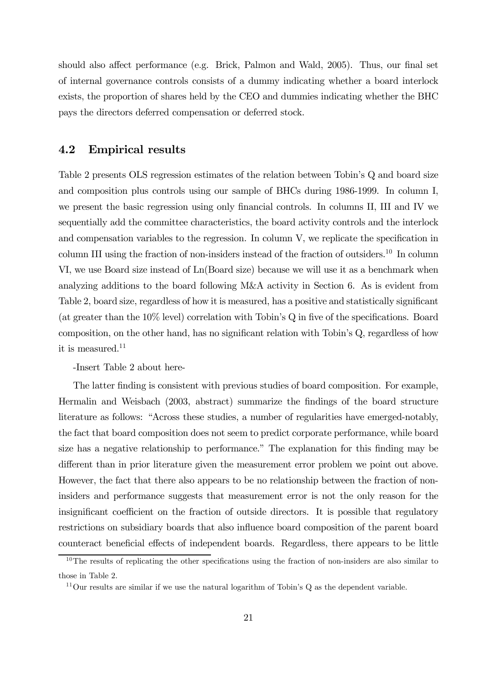should also affect performance (e.g. Brick, Palmon and Wald, 2005). Thus, our final set of internal governance controls consists of a dummy indicating whether a board interlock exists, the proportion of shares held by the CEO and dummies indicating whether the BHC pays the directors deferred compensation or deferred stock.

# 4.2 Empirical results

Table 2 presents OLS regression estimates of the relation between Tobin's Q and board size and composition plus controls using our sample of BHCs during 1986-1999. In column I, we present the basic regression using only financial controls. In columns II, III and IV we sequentially add the committee characteristics, the board activity controls and the interlock and compensation variables to the regression. In column V, we replicate the specification in column III using the fraction of non-insiders instead of the fraction of outsiders.10 In column VI, we use Board size instead of Ln(Board size) because we will use it as a benchmark when analyzing additions to the board following M&A activity in Section 6. As is evident from Table 2, board size, regardless of how it is measured, has a positive and statistically significant (at greater than the 10% level) correlation with Tobin's Q in five of the specifications. Board composition, on the other hand, has no significant relation with Tobin's Q, regardless of how it is measured.11

-Insert Table 2 about here-

The latter finding is consistent with previous studies of board composition. For example, Hermalin and Weisbach (2003, abstract) summarize the findings of the board structure literature as follows: "Across these studies, a number of regularities have emerged-notably, the fact that board composition does not seem to predict corporate performance, while board size has a negative relationship to performance." The explanation for this finding may be different than in prior literature given the measurement error problem we point out above. However, the fact that there also appears to be no relationship between the fraction of noninsiders and performance suggests that measurement error is not the only reason for the insignificant coefficient on the fraction of outside directors. It is possible that regulatory restrictions on subsidiary boards that also influence board composition of the parent board counteract beneficial effects of independent boards. Regardless, there appears to be little

 $10$ The results of replicating the other specifications using the fraction of non-insiders are also similar to those in Table 2.

 $11$ Our results are similar if we use the natural logarithm of Tobin's Q as the dependent variable.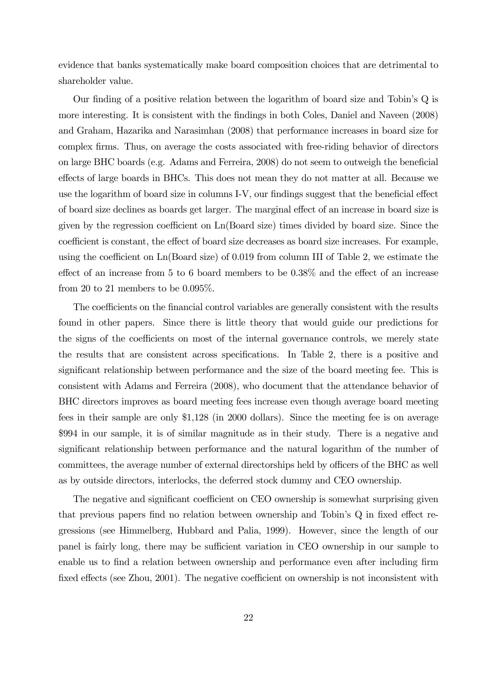evidence that banks systematically make board composition choices that are detrimental to shareholder value.

Our finding of a positive relation between the logarithm of board size and Tobin's Q is more interesting. It is consistent with the findings in both Coles, Daniel and Naveen (2008) and Graham, Hazarika and Narasimhan (2008) that performance increases in board size for complex firms. Thus, on average the costs associated with free-riding behavior of directors on large BHC boards (e.g. Adams and Ferreira, 2008) do not seem to outweigh the beneficial effects of large boards in BHCs. This does not mean they do not matter at all. Because we use the logarithm of board size in columns I-V, our findings suggest that the beneficial effect of board size declines as boards get larger. The marginal effect of an increase in board size is given by the regression coefficient on Ln(Board size) times divided by board size. Since the coefficient is constant, the effect of board size decreases as board size increases. For example, using the coefficient on Ln(Board size) of 0.019 from column III of Table 2, we estimate the effect of an increase from 5 to 6 board members to be 0.38% and the effect of an increase from 20 to 21 members to be  $0.095\%$ .

The coefficients on the financial control variables are generally consistent with the results found in other papers. Since there is little theory that would guide our predictions for the signs of the coefficients on most of the internal governance controls, we merely state the results that are consistent across specifications. In Table 2, there is a positive and significant relationship between performance and the size of the board meeting fee. This is consistent with Adams and Ferreira (2008), who document that the attendance behavior of BHC directors improves as board meeting fees increase even though average board meeting fees in their sample are only \$1,128 (in 2000 dollars). Since the meeting fee is on average \$994 in our sample, it is of similar magnitude as in their study. There is a negative and significant relationship between performance and the natural logarithm of the number of committees, the average number of external directorships held by officers of the BHC as well as by outside directors, interlocks, the deferred stock dummy and CEO ownership.

The negative and significant coefficient on CEO ownership is somewhat surprising given that previous papers find no relation between ownership and Tobin's Q in fixed effect regressions (see Himmelberg, Hubbard and Palia, 1999). However, since the length of our panel is fairly long, there may be sufficient variation in CEO ownership in our sample to enable us to find a relation between ownership and performance even after including firm fixed effects (see Zhou, 2001). The negative coefficient on ownership is not inconsistent with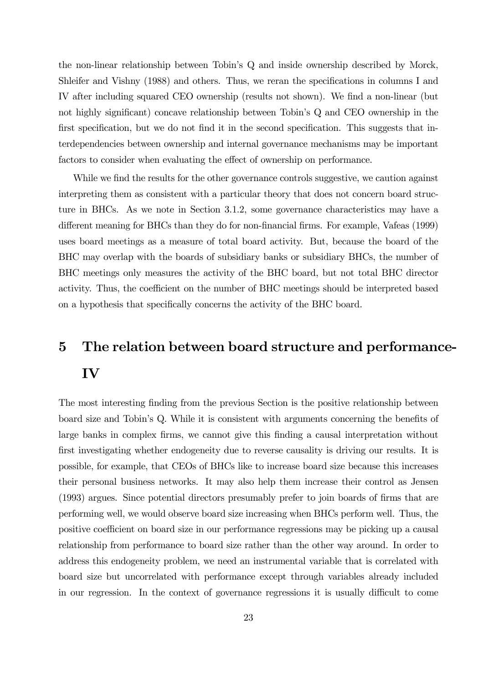the non-linear relationship between Tobin's Q and inside ownership described by Morck, Shleifer and Vishny (1988) and others. Thus, we reran the specifications in columns I and IV after including squared CEO ownership (results not shown). We find a non-linear (but not highly significant) concave relationship between Tobin's Q and CEO ownership in the first specification, but we do not find it in the second specification. This suggests that interdependencies between ownership and internal governance mechanisms may be important factors to consider when evaluating the effect of ownership on performance.

While we find the results for the other governance controls suggestive, we caution against interpreting them as consistent with a particular theory that does not concern board structure in BHCs. As we note in Section 3.1.2, some governance characteristics may have a different meaning for BHCs than they do for non-financial firms. For example, Vafeas (1999) uses board meetings as a measure of total board activity. But, because the board of the BHC may overlap with the boards of subsidiary banks or subsidiary BHCs, the number of BHC meetings only measures the activity of the BHC board, but not total BHC director activity. Thus, the coefficient on the number of BHC meetings should be interpreted based on a hypothesis that specifically concerns the activity of the BHC board.

# 5 The relation between board structure and performance-IV

The most interesting finding from the previous Section is the positive relationship between board size and Tobin's Q. While it is consistent with arguments concerning the benefits of large banks in complex firms, we cannot give this finding a causal interpretation without first investigating whether endogeneity due to reverse causality is driving our results. It is possible, for example, that CEOs of BHCs like to increase board size because this increases their personal business networks. It may also help them increase their control as Jensen (1993) argues. Since potential directors presumably prefer to join boards of firms that are performing well, we would observe board size increasing when BHCs perform well. Thus, the positive coefficient on board size in our performance regressions may be picking up a causal relationship from performance to board size rather than the other way around. In order to address this endogeneity problem, we need an instrumental variable that is correlated with board size but uncorrelated with performance except through variables already included in our regression. In the context of governance regressions it is usually difficult to come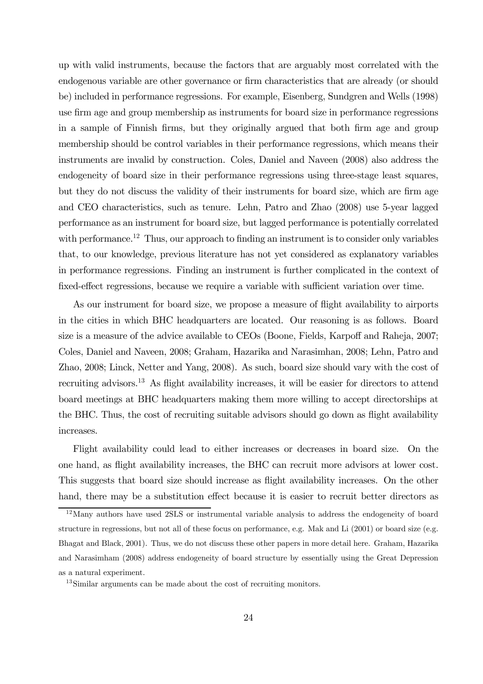up with valid instruments, because the factors that are arguably most correlated with the endogenous variable are other governance or firm characteristics that are already (or should be) included in performance regressions. For example, Eisenberg, Sundgren and Wells (1998) use firm age and group membership as instruments for board size in performance regressions in a sample of Finnish firms, but they originally argued that both firm age and group membership should be control variables in their performance regressions, which means their instruments are invalid by construction. Coles, Daniel and Naveen (2008) also address the endogeneity of board size in their performance regressions using three-stage least squares, but they do not discuss the validity of their instruments for board size, which are firm age and CEO characteristics, such as tenure. Lehn, Patro and Zhao (2008) use 5-year lagged performance as an instrument for board size, but lagged performance is potentially correlated with performance.<sup>12</sup> Thus, our approach to finding an instrument is to consider only variables that, to our knowledge, previous literature has not yet considered as explanatory variables in performance regressions. Finding an instrument is further complicated in the context of fixed-effect regressions, because we require a variable with sufficient variation over time.

As our instrument for board size, we propose a measure of flight availability to airports in the cities in which BHC headquarters are located. Our reasoning is as follows. Board size is a measure of the advice available to CEOs (Boone, Fields, Karpoff and Raheja, 2007; Coles, Daniel and Naveen, 2008; Graham, Hazarika and Narasimhan, 2008; Lehn, Patro and Zhao, 2008; Linck, Netter and Yang, 2008). As such, board size should vary with the cost of recruiting advisors.<sup>13</sup> As flight availability increases, it will be easier for directors to attend board meetings at BHC headquarters making them more willing to accept directorships at the BHC. Thus, the cost of recruiting suitable advisors should go down as flight availability increases.

Flight availability could lead to either increases or decreases in board size. On the one hand, as flight availability increases, the BHC can recruit more advisors at lower cost. This suggests that board size should increase as flight availability increases. On the other hand, there may be a substitution effect because it is easier to recruit better directors as

<sup>&</sup>lt;sup>12</sup>Many authors have used 2SLS or instrumental variable analysis to address the endogeneity of board structure in regressions, but not all of these focus on performance, e.g. Mak and Li (2001) or board size (e.g. Bhagat and Black, 2001). Thus, we do not discuss these other papers in more detail here. Graham, Hazarika and Narasimham (2008) address endogeneity of board structure by essentially using the Great Depression as a natural experiment.

<sup>&</sup>lt;sup>13</sup>Similar arguments can be made about the cost of recruiting monitors.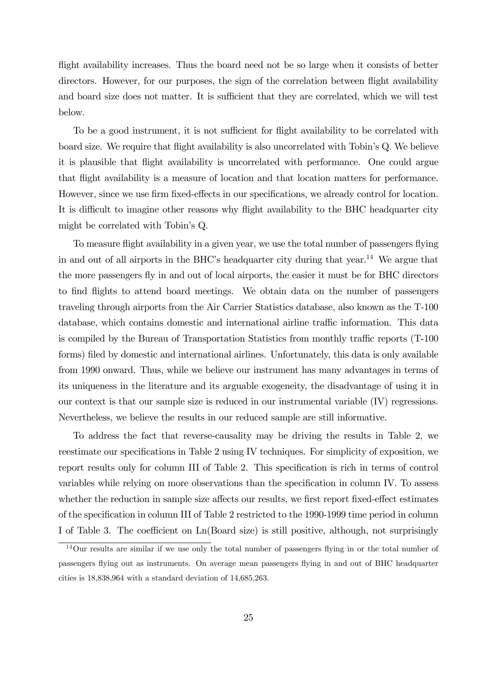flight availability increases. Thus the board need not be so large when it consists of better directors. However, for our purposes, the sign of the correlation between flight availability and board size does not matter. It is sufficient that they are correlated, which we will test below.

To be a good instrument, it is not sufficient for flight availability to be correlated with board size. We require that flight availability is also uncorrelated with Tobin's Q. We believe it is plausible that flight availability is uncorrelated with performance. One could argue that flight availability is a measure of location and that location matters for performance. However, since we use firm fixed-effects in our specifications, we already control for location. It is difficult to imagine other reasons why flight availability to the BHC headquarter city might be correlated with Tobin's Q.

To measure flight availability in a given year, we use the total number of passengers flying in and out of all airports in the BHC's headquarter city during that year.14 We argue that the more passengers fly in and out of local airports, the easier it must be for BHC directors to find flights to attend board meetings. We obtain data on the number of passengers traveling through airports from the Air Carrier Statistics database, also known as the T-100 database, which contains domestic and international airline traffic information. This data is compiled by the Bureau of Transportation Statistics from monthly traffic reports (T-100 forms) filed by domestic and international airlines. Unfortunately, this data is only available from 1990 onward. Thus, while we believe our instrument has many advantages in terms of its uniqueness in the literature and its arguable exogeneity, the disadvantage of using it in our context is that our sample size is reduced in our instrumental variable (IV) regressions. Nevertheless, we believe the results in our reduced sample are still informative.

To address the fact that reverse-causality may be driving the results in Table 2, we reestimate our specifications in Table 2 using IV techniques. For simplicity of exposition, we report results only for column III of Table 2. This specification is rich in terms of control variables while relying on more observations than the specification in column IV. To assess whether the reduction in sample size affects our results, we first report fixed-effect estimates of the specification in column III of Table 2 restricted to the 1990-1999 time period in column I of Table 3. The coefficient on Ln(Board size) is still positive, although, not surprisingly

<sup>&</sup>lt;sup>14</sup>Our results are similar if we use only the total number of passengers flying in or the total number of passengers flying out as instruments. On average mean passengers flying in and out of BHC headquarter cities is 18,838,964 with a standard deviation of 14,685,263.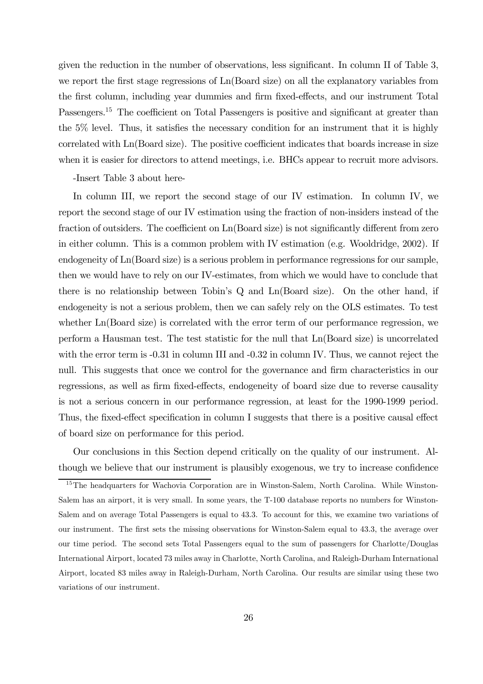given the reduction in the number of observations, less significant. In column II of Table 3, we report the first stage regressions of Ln(Board size) on all the explanatory variables from the first column, including year dummies and firm fixed-effects, and our instrument Total Passengers.<sup>15</sup> The coefficient on Total Passengers is positive and significant at greater than the 5% level. Thus, it satisfies the necessary condition for an instrument that it is highly correlated with Ln(Board size). The positive coefficient indicates that boards increase in size when it is easier for directors to attend meetings, i.e. BHCs appear to recruit more advisors.

-Insert Table 3 about here-

In column III, we report the second stage of our IV estimation. In column IV, we report the second stage of our IV estimation using the fraction of non-insiders instead of the fraction of outsiders. The coefficient on Ln(Board size) is not significantly different from zero in either column. This is a common problem with IV estimation (e.g. Wooldridge, 2002). If endogeneity of Ln(Board size) is a serious problem in performance regressions for our sample, then we would have to rely on our IV-estimates, from which we would have to conclude that there is no relationship between Tobin's Q and Ln(Board size). On the other hand, if endogeneity is not a serious problem, then we can safely rely on the OLS estimates. To test whether Ln(Board size) is correlated with the error term of our performance regression, we perform a Hausman test. The test statistic for the null that Ln(Board size) is uncorrelated with the error term is  $-0.31$  in column III and  $-0.32$  in column IV. Thus, we cannot reject the null. This suggests that once we control for the governance and firm characteristics in our regressions, as well as firm fixed-effects, endogeneity of board size due to reverse causality is not a serious concern in our performance regression, at least for the 1990-1999 period. Thus, the fixed-effect specification in column I suggests that there is a positive causal effect of board size on performance for this period.

Our conclusions in this Section depend critically on the quality of our instrument. Although we believe that our instrument is plausibly exogenous, we try to increase confidence

<sup>&</sup>lt;sup>15</sup>The headquarters for Wachovia Corporation are in Winston-Salem, North Carolina. While Winston-Salem has an airport, it is very small. In some years, the T-100 database reports no numbers for Winston-Salem and on average Total Passengers is equal to 43.3. To account for this, we examine two variations of our instrument. The first sets the missing observations for Winston-Salem equal to 43.3, the average over our time period. The second sets Total Passengers equal to the sum of passengers for Charlotte/Douglas International Airport, located 73 miles away in Charlotte, North Carolina, and Raleigh-Durham International Airport, located 83 miles away in Raleigh-Durham, North Carolina. Our results are similar using these two variations of our instrument.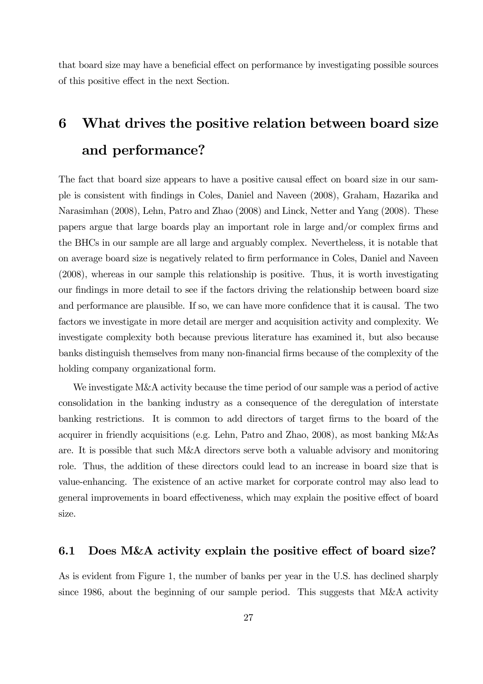that board size may have a beneficial effect on performance by investigating possible sources of this positive effect in the next Section.

# 6 What drives the positive relation between board size and performance?

The fact that board size appears to have a positive causal effect on board size in our sample is consistent with findings in Coles, Daniel and Naveen (2008), Graham, Hazarika and Narasimhan (2008), Lehn, Patro and Zhao (2008) and Linck, Netter and Yang (2008). These papers argue that large boards play an important role in large and/or complex firms and the BHCs in our sample are all large and arguably complex. Nevertheless, it is notable that on average board size is negatively related to firm performance in Coles, Daniel and Naveen (2008), whereas in our sample this relationship is positive. Thus, it is worth investigating our findings in more detail to see if the factors driving the relationship between board size and performance are plausible. If so, we can have more confidence that it is causal. The two factors we investigate in more detail are merger and acquisition activity and complexity. We investigate complexity both because previous literature has examined it, but also because banks distinguish themselves from many non-financial firms because of the complexity of the holding company organizational form.

We investigate M&A activity because the time period of our sample was a period of active consolidation in the banking industry as a consequence of the deregulation of interstate banking restrictions. It is common to add directors of target firms to the board of the acquirer in friendly acquisitions (e.g. Lehn, Patro and Zhao, 2008), as most banking M&As are. It is possible that such M&A directors serve both a valuable advisory and monitoring role. Thus, the addition of these directors could lead to an increase in board size that is value-enhancing. The existence of an active market for corporate control may also lead to general improvements in board effectiveness, which may explain the positive effect of board size.

# 6.1 Does M&A activity explain the positive effect of board size?

As is evident from Figure 1, the number of banks per year in the U.S. has declined sharply since 1986, about the beginning of our sample period. This suggests that M&A activity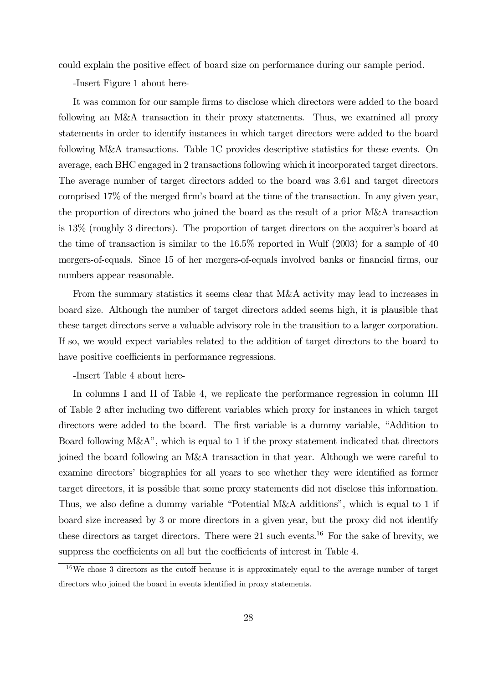could explain the positive effect of board size on performance during our sample period.

-Insert Figure 1 about here-

It was common for our sample firms to disclose which directors were added to the board following an M&A transaction in their proxy statements. Thus, we examined all proxy statements in order to identify instances in which target directors were added to the board following M&A transactions. Table 1C provides descriptive statistics for these events. On average, each BHC engaged in 2 transactions following which it incorporated target directors. The average number of target directors added to the board was 3.61 and target directors comprised 17% of the merged firm's board at the time of the transaction. In any given year, the proportion of directors who joined the board as the result of a prior M&A transaction is 13% (roughly 3 directors). The proportion of target directors on the acquirer's board at the time of transaction is similar to the 16.5% reported in Wulf (2003) for a sample of 40 mergers-of-equals. Since 15 of her mergers-of-equals involved banks or financial firms, our numbers appear reasonable.

From the summary statistics it seems clear that M&A activity may lead to increases in board size. Although the number of target directors added seems high, it is plausible that these target directors serve a valuable advisory role in the transition to a larger corporation. If so, we would expect variables related to the addition of target directors to the board to have positive coefficients in performance regressions.

-Insert Table 4 about here-

In columns I and II of Table 4, we replicate the performance regression in column III of Table 2 after including two different variables which proxy for instances in which target directors were added to the board. The first variable is a dummy variable, "Addition to Board following  $M\&A$ ", which is equal to 1 if the proxy statement indicated that directors joined the board following an M&A transaction in that year. Although we were careful to examine directors' biographies for all years to see whether they were identified as former target directors, it is possible that some proxy statements did not disclose this information. Thus, we also define a dummy variable "Potential M&A additions", which is equal to 1 if board size increased by 3 or more directors in a given year, but the proxy did not identify these directors as target directors. There were  $21$  such events.<sup>16</sup> For the sake of brevity, we suppress the coefficients on all but the coefficients of interest in Table 4.

 $16\,\text{We chose } 3$  directors as the cutoff because it is approximately equal to the average number of target directors who joined the board in events identified in proxy statements.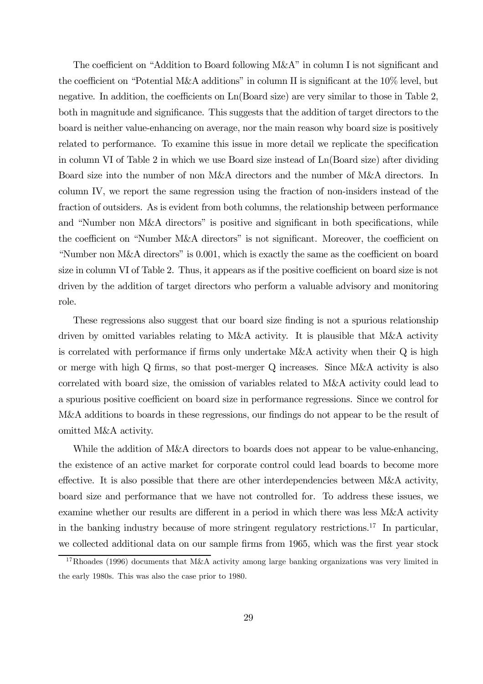The coefficient on "Addition to Board following M&A" in column I is not significant and the coefficient on "Potential M&A additions" in column II is significant at the 10% level, but negative. In addition, the coefficients on Ln(Board size) are very similar to those in Table 2, both in magnitude and significance. This suggests that the addition of target directors to the board is neither value-enhancing on average, nor the main reason why board size is positively related to performance. To examine this issue in more detail we replicate the specification in column VI of Table 2 in which we use Board size instead of Ln(Board size) after dividing Board size into the number of non M&A directors and the number of M&A directors. In column IV, we report the same regression using the fraction of non-insiders instead of the fraction of outsiders. As is evident from both columns, the relationship between performance and "Number non M&A directors" is positive and significant in both specifications, while the coefficient on "Number M&A directors" is not significant. Moreover, the coefficient on "Number non M&A directors" is 0.001, which is exactly the same as the coefficient on board size in column VI of Table 2. Thus, it appears as if the positive coefficient on board size is not driven by the addition of target directors who perform a valuable advisory and monitoring role.

These regressions also suggest that our board size finding is not a spurious relationship driven by omitted variables relating to M&A activity. It is plausible that M&A activity is correlated with performance if firms only undertake M&A activity when their Q is high or merge with high Q firms, so that post-merger Q increases. Since M&A activity is also correlated with board size, the omission of variables related to M&A activity could lead to a spurious positive coefficient on board size in performance regressions. Since we control for M&A additions to boards in these regressions, our findings do not appear to be the result of omitted M&A activity.

While the addition of M&A directors to boards does not appear to be value-enhancing, the existence of an active market for corporate control could lead boards to become more effective. It is also possible that there are other interdependencies between M&A activity, board size and performance that we have not controlled for. To address these issues, we examine whether our results are different in a period in which there was less M&A activity in the banking industry because of more stringent regulatory restrictions.17 In particular, we collected additional data on our sample firms from 1965, which was the first year stock

<sup>&</sup>lt;sup>17</sup>Rhoades (1996) documents that M&A activity among large banking organizations was very limited in the early 1980s. This was also the case prior to 1980.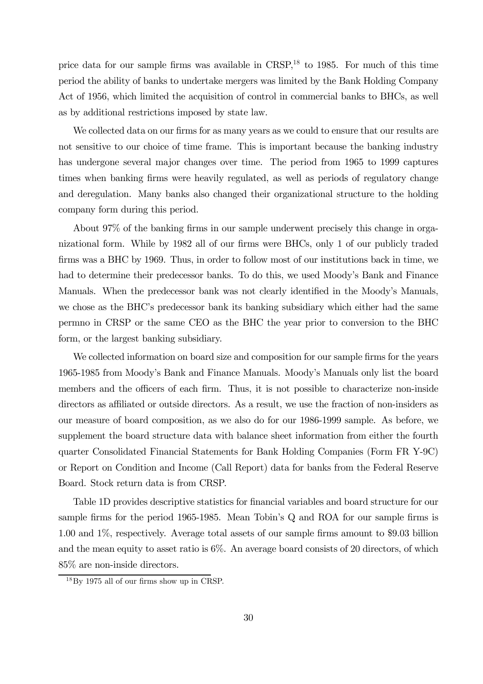price data for our sample firms was available in  $CRSP<sub>18</sub>$  to 1985. For much of this time period the ability of banks to undertake mergers was limited by the Bank Holding Company Act of 1956, which limited the acquisition of control in commercial banks to BHCs, as well as by additional restrictions imposed by state law.

We collected data on our firms for as many years as we could to ensure that our results are not sensitive to our choice of time frame. This is important because the banking industry has undergone several major changes over time. The period from 1965 to 1999 captures times when banking firms were heavily regulated, as well as periods of regulatory change and deregulation. Many banks also changed their organizational structure to the holding company form during this period.

About 97% of the banking firms in our sample underwent precisely this change in organizational form. While by 1982 all of our firms were BHCs, only 1 of our publicly traded firms was a BHC by 1969. Thus, in order to follow most of our institutions back in time, we had to determine their predecessor banks. To do this, we used Moody's Bank and Finance Manuals. When the predecessor bank was not clearly identified in the Moody's Manuals, we chose as the BHC's predecessor bank its banking subsidiary which either had the same permno in CRSP or the same CEO as the BHC the year prior to conversion to the BHC form, or the largest banking subsidiary.

We collected information on board size and composition for our sample firms for the years 1965-1985 from Moody's Bank and Finance Manuals. Moody's Manuals only list the board members and the officers of each firm. Thus, it is not possible to characterize non-inside directors as affiliated or outside directors. As a result, we use the fraction of non-insiders as our measure of board composition, as we also do for our 1986-1999 sample. As before, we supplement the board structure data with balance sheet information from either the fourth quarter Consolidated Financial Statements for Bank Holding Companies (Form FR Y-9C) or Report on Condition and Income (Call Report) data for banks from the Federal Reserve Board. Stock return data is from CRSP.

Table 1D provides descriptive statistics for financial variables and board structure for our sample firms for the period 1965-1985. Mean Tobin's Q and ROA for our sample firms is 1.00 and 1%, respectively. Average total assets of our sample firms amount to \$9.03 billion and the mean equity to asset ratio is  $6\%$ . An average board consists of 20 directors, of which 85% are non-inside directors.

 $18\,\text{By}$  1975 all of our firms show up in CRSP.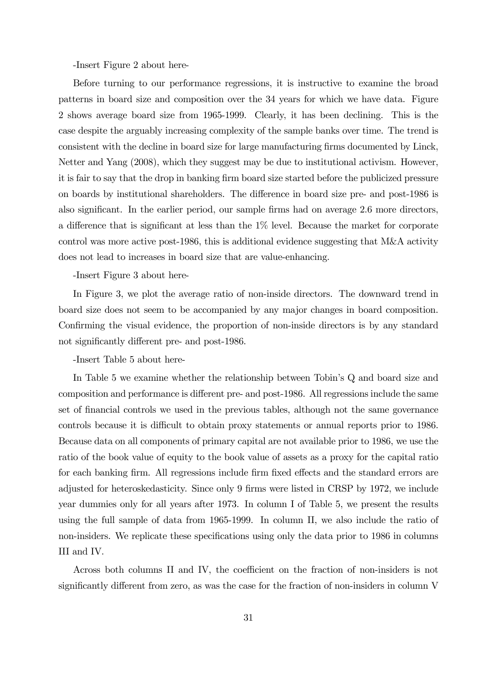-Insert Figure 2 about here-

Before turning to our performance regressions, it is instructive to examine the broad patterns in board size and composition over the 34 years for which we have data. Figure 2 shows average board size from 1965-1999. Clearly, it has been declining. This is the case despite the arguably increasing complexity of the sample banks over time. The trend is consistent with the decline in board size for large manufacturing firms documented by Linck, Netter and Yang (2008), which they suggest may be due to institutional activism. However, it is fair to say that the drop in banking firm board size started before the publicized pressure on boards by institutional shareholders. The difference in board size pre- and post-1986 is also significant. In the earlier period, our sample firms had on average 2.6 more directors, a difference that is significant at less than the 1% level. Because the market for corporate control was more active post-1986, this is additional evidence suggesting that M&A activity does not lead to increases in board size that are value-enhancing.

-Insert Figure 3 about here-

In Figure 3, we plot the average ratio of non-inside directors. The downward trend in board size does not seem to be accompanied by any major changes in board composition. Confirming the visual evidence, the proportion of non-inside directors is by any standard not significantly different pre- and post-1986.

-Insert Table 5 about here-

In Table 5 we examine whether the relationship between Tobin's Q and board size and composition and performance is different pre- and post-1986. All regressions include the same set of financial controls we used in the previous tables, although not the same governance controls because it is difficult to obtain proxy statements or annual reports prior to 1986. Because data on all components of primary capital are not available prior to 1986, we use the ratio of the book value of equity to the book value of assets as a proxy for the capital ratio for each banking firm. All regressions include firm fixed effects and the standard errors are adjusted for heteroskedasticity. Since only 9 firms were listed in CRSP by 1972, we include year dummies only for all years after 1973. In column I of Table 5, we present the results using the full sample of data from 1965-1999. In column II, we also include the ratio of non-insiders. We replicate these specifications using only the data prior to 1986 in columns III and IV.

Across both columns II and IV, the coefficient on the fraction of non-insiders is not significantly different from zero, as was the case for the fraction of non-insiders in column V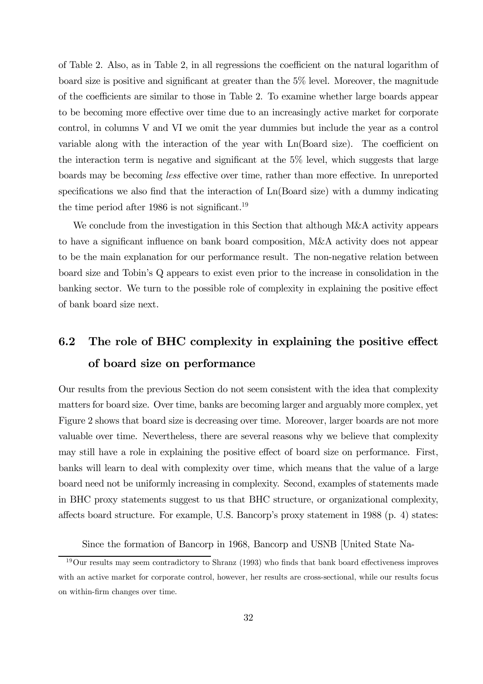of Table 2. Also, as in Table 2, in all regressions the coefficient on the natural logarithm of board size is positive and significant at greater than the 5% level. Moreover, the magnitude of the coefficients are similar to those in Table 2. To examine whether large boards appear to be becoming more effective over time due to an increasingly active market for corporate control, in columns V and VI we omit the year dummies but include the year as a control variable along with the interaction of the year with Ln(Board size). The coefficient on the interaction term is negative and significant at the 5% level, which suggests that large boards may be becoming less effective over time, rather than more effective. In unreported specifications we also find that the interaction of Ln(Board size) with a dummy indicating the time period after 1986 is not significant.<sup>19</sup>

We conclude from the investigation in this Section that although M&A activity appears to have a significant influence on bank board composition, M&A activity does not appear to be the main explanation for our performance result. The non-negative relation between board size and Tobin's Q appears to exist even prior to the increase in consolidation in the banking sector. We turn to the possible role of complexity in explaining the positive effect of bank board size next.

# 6.2 The role of BHC complexity in explaining the positive effect of board size on performance

Our results from the previous Section do not seem consistent with the idea that complexity matters for board size. Over time, banks are becoming larger and arguably more complex, yet Figure 2 shows that board size is decreasing over time. Moreover, larger boards are not more valuable over time. Nevertheless, there are several reasons why we believe that complexity may still have a role in explaining the positive effect of board size on performance. First, banks will learn to deal with complexity over time, which means that the value of a large board need not be uniformly increasing in complexity. Second, examples of statements made in BHC proxy statements suggest to us that BHC structure, or organizational complexity, affects board structure. For example, U.S. Bancorp's proxy statement in 1988 (p. 4) states:

Since the formation of Bancorp in 1968, Bancorp and USNB [United State Na-

<sup>19</sup>Our results may seem contradictory to Shranz (1993) who finds that bank board effectiveness improves with an active market for corporate control, however, her results are cross-sectional, while our results focus on within-firm changes over time.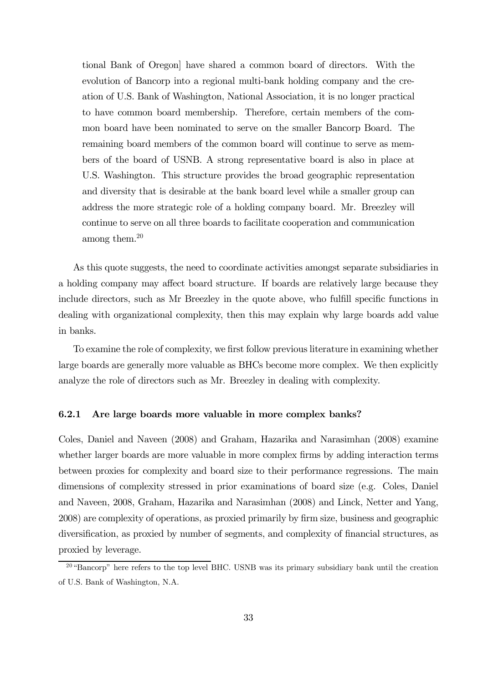tional Bank of Oregon] have shared a common board of directors. With the evolution of Bancorp into a regional multi-bank holding company and the creation of U.S. Bank of Washington, National Association, it is no longer practical to have common board membership. Therefore, certain members of the common board have been nominated to serve on the smaller Bancorp Board. The remaining board members of the common board will continue to serve as members of the board of USNB. A strong representative board is also in place at U.S. Washington. This structure provides the broad geographic representation and diversity that is desirable at the bank board level while a smaller group can address the more strategic role of a holding company board. Mr. Breezley will continue to serve on all three boards to facilitate cooperation and communication among them.20

As this quote suggests, the need to coordinate activities amongst separate subsidiaries in a holding company may affect board structure. If boards are relatively large because they include directors, such as Mr Breezley in the quote above, who fulfill specific functions in dealing with organizational complexity, then this may explain why large boards add value in banks.

To examine the role of complexity, we first follow previous literature in examining whether large boards are generally more valuable as BHCs become more complex. We then explicitly analyze the role of directors such as Mr. Breezley in dealing with complexity.

#### 6.2.1 Are large boards more valuable in more complex banks?

Coles, Daniel and Naveen (2008) and Graham, Hazarika and Narasimhan (2008) examine whether larger boards are more valuable in more complex firms by adding interaction terms between proxies for complexity and board size to their performance regressions. The main dimensions of complexity stressed in prior examinations of board size (e.g. Coles, Daniel and Naveen, 2008, Graham, Hazarika and Narasimhan (2008) and Linck, Netter and Yang, 2008) are complexity of operations, as proxied primarily by firm size, business and geographic diversification, as proxied by number of segments, and complexity of financial structures, as proxied by leverage.

 $20$  "Bancorp" here refers to the top level BHC. USNB was its primary subsidiary bank until the creation of U.S. Bank of Washington, N.A.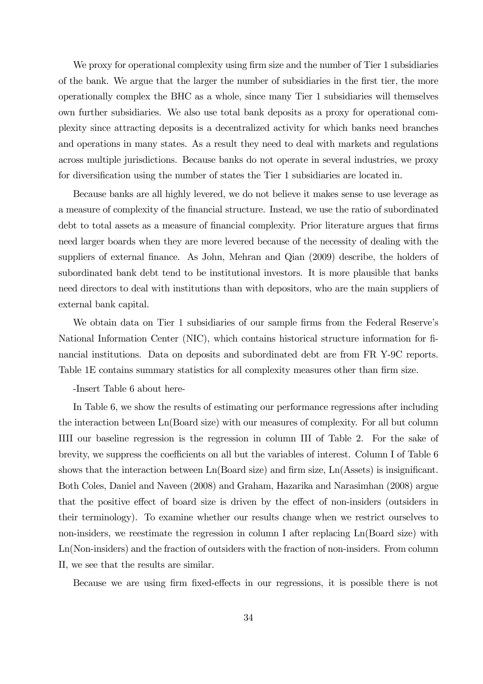We proxy for operational complexity using firm size and the number of Tier 1 subsidiaries of the bank. We argue that the larger the number of subsidiaries in the first tier, the more operationally complex the BHC as a whole, since many Tier 1 subsidiaries will themselves own further subsidiaries. We also use total bank deposits as a proxy for operational complexity since attracting deposits is a decentralized activity for which banks need branches and operations in many states. As a result they need to deal with markets and regulations across multiple jurisdictions. Because banks do not operate in several industries, we proxy for diversification using the number of states the Tier 1 subsidiaries are located in.

Because banks are all highly levered, we do not believe it makes sense to use leverage as a measure of complexity of the financial structure. Instead, we use the ratio of subordinated debt to total assets as a measure of financial complexity. Prior literature argues that firms need larger boards when they are more levered because of the necessity of dealing with the suppliers of external finance. As John, Mehran and Qian (2009) describe, the holders of subordinated bank debt tend to be institutional investors. It is more plausible that banks need directors to deal with institutions than with depositors, who are the main suppliers of external bank capital.

We obtain data on Tier 1 subsidiaries of our sample firms from the Federal Reserve's National Information Center (NIC), which contains historical structure information for financial institutions. Data on deposits and subordinated debt are from FR Y-9C reports. Table 1E contains summary statistics for all complexity measures other than firm size.

-Insert Table 6 about here-

In Table 6, we show the results of estimating our performance regressions after including the interaction between Ln(Board size) with our measures of complexity. For all but column IIII our baseline regression is the regression in column III of Table 2. For the sake of brevity, we suppress the coefficients on all but the variables of interest. Column I of Table 6 shows that the interaction between Ln(Board size) and firm size, Ln(Assets) is insignificant. Both Coles, Daniel and Naveen (2008) and Graham, Hazarika and Narasimhan (2008) argue that the positive effect of board size is driven by the effect of non-insiders (outsiders in their terminology). To examine whether our results change when we restrict ourselves to non-insiders, we reestimate the regression in column I after replacing Ln(Board size) with Ln(Non-insiders) and the fraction of outsiders with the fraction of non-insiders. From column II, we see that the results are similar.

Because we are using firm fixed-effects in our regressions, it is possible there is not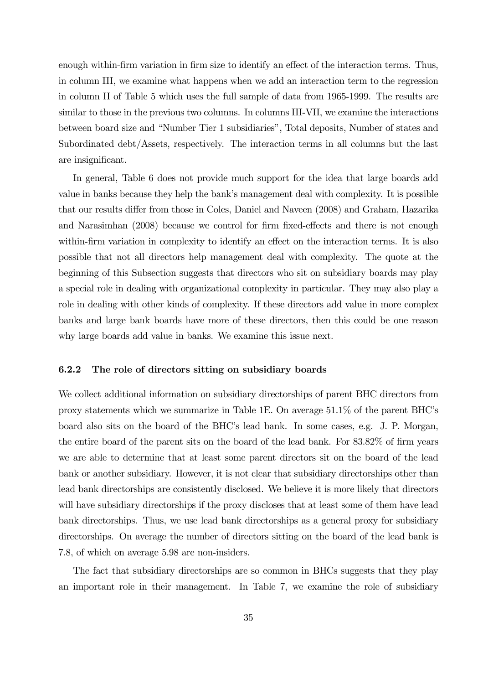enough within-firm variation in firm size to identify an effect of the interaction terms. Thus, in column III, we examine what happens when we add an interaction term to the regression in column II of Table 5 which uses the full sample of data from 1965-1999. The results are similar to those in the previous two columns. In columns III-VII, we examine the interactions between board size and "Number Tier 1 subsidiaries", Total deposits, Number of states and Subordinated debt/Assets, respectively. The interaction terms in all columns but the last are insignificant.

In general, Table 6 does not provide much support for the idea that large boards add value in banks because they help the bank's management deal with complexity. It is possible that our results differ from those in Coles, Daniel and Naveen (2008) and Graham, Hazarika and Narasimhan (2008) because we control for firm fixed-effects and there is not enough within-firm variation in complexity to identify an effect on the interaction terms. It is also possible that not all directors help management deal with complexity. The quote at the beginning of this Subsection suggests that directors who sit on subsidiary boards may play a special role in dealing with organizational complexity in particular. They may also play a role in dealing with other kinds of complexity. If these directors add value in more complex banks and large bank boards have more of these directors, then this could be one reason why large boards add value in banks. We examine this issue next.

### 6.2.2 The role of directors sitting on subsidiary boards

We collect additional information on subsidiary directorships of parent BHC directors from proxy statements which we summarize in Table 1E. On average 51.1% of the parent BHC's board also sits on the board of the BHC's lead bank. In some cases, e.g. J. P. Morgan, the entire board of the parent sits on the board of the lead bank. For 83.82% of firm years we are able to determine that at least some parent directors sit on the board of the lead bank or another subsidiary. However, it is not clear that subsidiary directorships other than lead bank directorships are consistently disclosed. We believe it is more likely that directors will have subsidiary directorships if the proxy discloses that at least some of them have lead bank directorships. Thus, we use lead bank directorships as a general proxy for subsidiary directorships. On average the number of directors sitting on the board of the lead bank is 7.8, of which on average 5.98 are non-insiders.

The fact that subsidiary directorships are so common in BHCs suggests that they play an important role in their management. In Table 7, we examine the role of subsidiary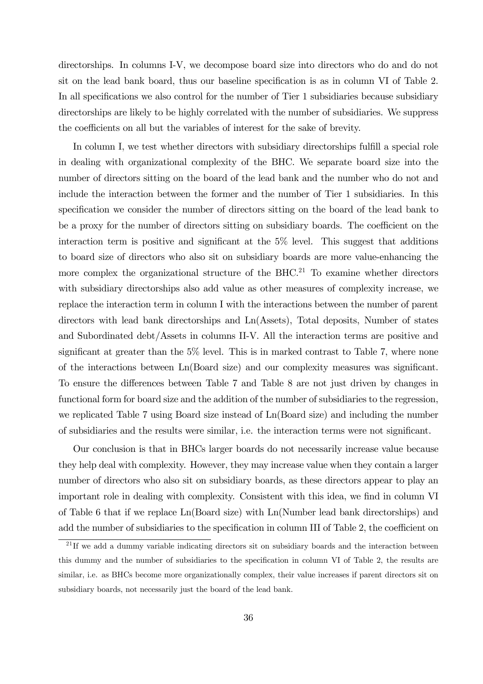directorships. In columns I-V, we decompose board size into directors who do and do not sit on the lead bank board, thus our baseline specification is as in column VI of Table 2. In all specifications we also control for the number of Tier 1 subsidiaries because subsidiary directorships are likely to be highly correlated with the number of subsidiaries. We suppress the coefficients on all but the variables of interest for the sake of brevity.

In column I, we test whether directors with subsidiary directorships fulfill a special role in dealing with organizational complexity of the BHC. We separate board size into the number of directors sitting on the board of the lead bank and the number who do not and include the interaction between the former and the number of Tier 1 subsidiaries. In this specification we consider the number of directors sitting on the board of the lead bank to be a proxy for the number of directors sitting on subsidiary boards. The coefficient on the interaction term is positive and significant at the 5% level. This suggest that additions to board size of directors who also sit on subsidiary boards are more value-enhancing the more complex the organizational structure of the  $BHC<sup>21</sup>$  To examine whether directors with subsidiary directorships also add value as other measures of complexity increase, we replace the interaction term in column I with the interactions between the number of parent directors with lead bank directorships and Ln(Assets), Total deposits, Number of states and Subordinated debt/Assets in columns II-V. All the interaction terms are positive and significant at greater than the 5% level. This is in marked contrast to Table 7, where none of the interactions between Ln(Board size) and our complexity measures was significant. To ensure the differences between Table 7 and Table 8 are not just driven by changes in functional form for board size and the addition of the number of subsidiaries to the regression, we replicated Table 7 using Board size instead of Ln(Board size) and including the number of subsidiaries and the results were similar, i.e. the interaction terms were not significant.

Our conclusion is that in BHCs larger boards do not necessarily increase value because they help deal with complexity. However, they may increase value when they contain a larger number of directors who also sit on subsidiary boards, as these directors appear to play an important role in dealing with complexity. Consistent with this idea, we find in column VI of Table 6 that if we replace Ln(Board size) with Ln(Number lead bank directorships) and add the number of subsidiaries to the specification in column III of Table 2, the coefficient on

 $21$  If we add a dummy variable indicating directors sit on subsidiary boards and the interaction between this dummy and the number of subsidiaries to the specification in column VI of Table 2, the results are similar, i.e. as BHCs become more organizationally complex, their value increases if parent directors sit on subsidiary boards, not necessarily just the board of the lead bank.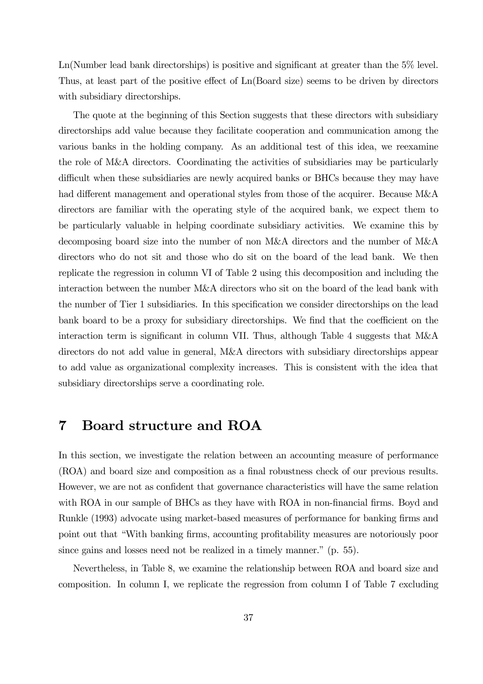Ln(Number lead bank directorships) is positive and significant at greater than the 5% level. Thus, at least part of the positive effect of Ln(Board size) seems to be driven by directors with subsidiary directorships.

The quote at the beginning of this Section suggests that these directors with subsidiary directorships add value because they facilitate cooperation and communication among the various banks in the holding company. As an additional test of this idea, we reexamine the role of M&A directors. Coordinating the activities of subsidiaries may be particularly difficult when these subsidiaries are newly acquired banks or BHCs because they may have had different management and operational styles from those of the acquirer. Because M&A directors are familiar with the operating style of the acquired bank, we expect them to be particularly valuable in helping coordinate subsidiary activities. We examine this by decomposing board size into the number of non M&A directors and the number of M&A directors who do not sit and those who do sit on the board of the lead bank. We then replicate the regression in column VI of Table 2 using this decomposition and including the interaction between the number M&A directors who sit on the board of the lead bank with the number of Tier 1 subsidiaries. In this specification we consider directorships on the lead bank board to be a proxy for subsidiary directorships. We find that the coefficient on the interaction term is significant in column VII. Thus, although Table 4 suggests that M&A directors do not add value in general, M&A directors with subsidiary directorships appear to add value as organizational complexity increases. This is consistent with the idea that subsidiary directorships serve a coordinating role.

# 7 Board structure and ROA

In this section, we investigate the relation between an accounting measure of performance (ROA) and board size and composition as a final robustness check of our previous results. However, we are not as confident that governance characteristics will have the same relation with ROA in our sample of BHCs as they have with ROA in non-financial firms. Boyd and Runkle (1993) advocate using market-based measures of performance for banking firms and point out that "With banking firms, accounting profitability measures are notoriously poor since gains and losses need not be realized in a timely manner." (p. 55).

Nevertheless, in Table 8, we examine the relationship between ROA and board size and composition. In column I, we replicate the regression from column I of Table 7 excluding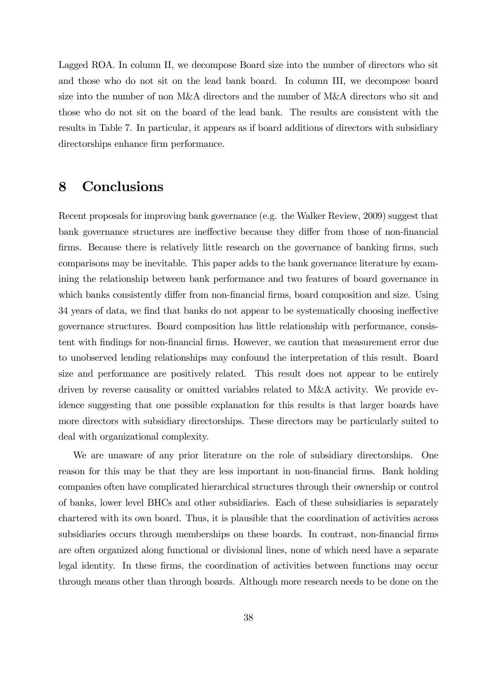Lagged ROA. In column II, we decompose Board size into the number of directors who sit and those who do not sit on the lead bank board. In column III, we decompose board size into the number of non M&A directors and the number of M&A directors who sit and those who do not sit on the board of the lead bank. The results are consistent with the results in Table 7. In particular, it appears as if board additions of directors with subsidiary directorships enhance firm performance.

# 8 Conclusions

Recent proposals for improving bank governance (e.g. the Walker Review, 2009) suggest that bank governance structures are ineffective because they differ from those of non-financial firms. Because there is relatively little research on the governance of banking firms, such comparisons may be inevitable. This paper adds to the bank governance literature by examining the relationship between bank performance and two features of board governance in which banks consistently differ from non-financial firms, board composition and size. Using 34 years of data, we find that banks do not appear to be systematically choosing ineffective governance structures. Board composition has little relationship with performance, consistent with findings for non-financial firms. However, we caution that measurement error due to unobserved lending relationships may confound the interpretation of this result. Board size and performance are positively related. This result does not appear to be entirely driven by reverse causality or omitted variables related to M&A activity. We provide evidence suggesting that one possible explanation for this results is that larger boards have more directors with subsidiary directorships. These directors may be particularly suited to deal with organizational complexity.

We are unaware of any prior literature on the role of subsidiary directorships. One reason for this may be that they are less important in non-financial firms. Bank holding companies often have complicated hierarchical structures through their ownership or control of banks, lower level BHCs and other subsidiaries. Each of these subsidiaries is separately chartered with its own board. Thus, it is plausible that the coordination of activities across subsidiaries occurs through memberships on these boards. In contrast, non-financial firms are often organized along functional or divisional lines, none of which need have a separate legal identity. In these firms, the coordination of activities between functions may occur through means other than through boards. Although more research needs to be done on the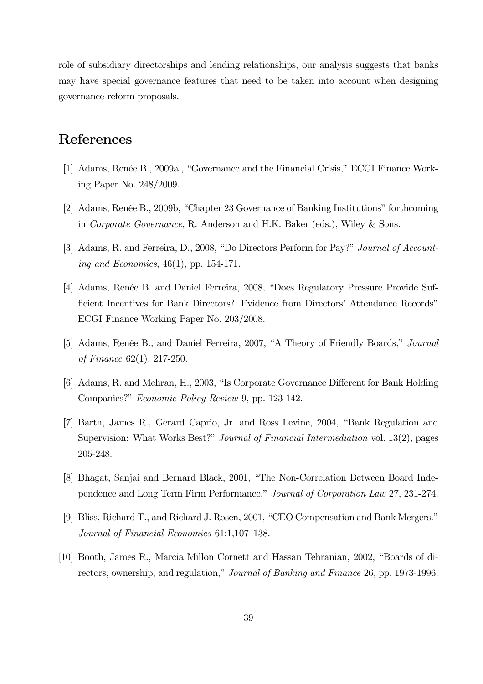role of subsidiary directorships and lending relationships, our analysis suggests that banks may have special governance features that need to be taken into account when designing governance reform proposals.

# References

- [1] Adams, Renée B., 2009a., "Governance and the Financial Crisis," ECGI Finance Working Paper No. 248/2009.
- [2] Adams, Renée B., 2009b, "Chapter 23 Governance of Banking Institutions" forthcoming in Corporate Governance, R. Anderson and H.K. Baker (eds.), Wiley & Sons.
- [3] Adams, R. and Ferreira, D., 2008, "Do Directors Perform for Pay?" Journal of Accounting and Economics, 46(1), pp. 154-171.
- [4] Adams, Renée B. and Daniel Ferreira, 2008, "Does Regulatory Pressure Provide Sufficient Incentives for Bank Directors? Evidence from Directors' Attendance Records" ECGI Finance Working Paper No. 203/2008.
- [5] Adams, Renée B., and Daniel Ferreira, 2007, "A Theory of Friendly Boards," Journal of Finance 62(1), 217-250.
- [6] Adams, R. and Mehran, H., 2003, "Is Corporate Governance Different for Bank Holding Companies?" Economic Policy Review 9, pp. 123-142.
- [7] Barth, James R., Gerard Caprio, Jr. and Ross Levine, 2004, "Bank Regulation and Supervision: What Works Best?" Journal of Financial Intermediation vol. 13(2), pages 205-248.
- [8] Bhagat, Sanjai and Bernard Black, 2001, "The Non-Correlation Between Board Independence and Long Term Firm Performance," Journal of Corporation Law 27, 231-274.
- [9] Bliss, Richard T., and Richard J. Rosen, 2001, "CEO Compensation and Bank Mergers." Journal of Financial Economics 61:1,107—138.
- [10] Booth, James R., Marcia Millon Cornett and Hassan Tehranian, 2002, "Boards of directors, ownership, and regulation," Journal of Banking and Finance 26, pp. 1973-1996.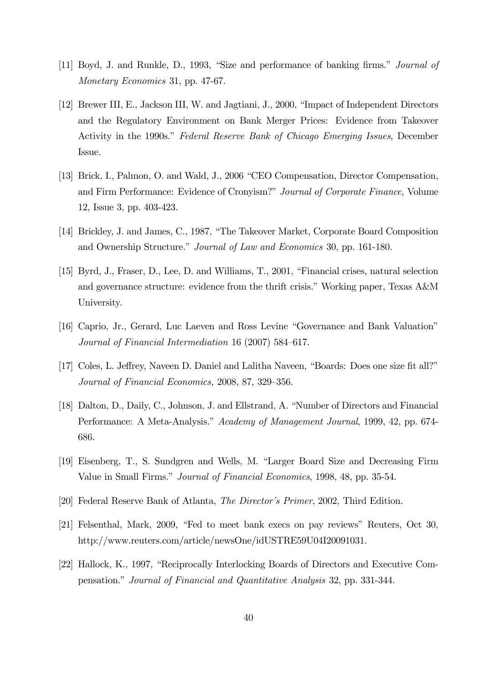- [11] Boyd, J. and Runkle, D., 1993, "Size and performance of banking firms." Journal of Monetary Economics 31, pp. 47-67.
- [12] Brewer III, E., Jackson III, W. and Jagtiani, J., 2000, "Impact of Independent Directors and the Regulatory Environment on Bank Merger Prices: Evidence from Takeover Activity in the 1990s." Federal Reserve Bank of Chicago Emerging Issues, December Issue.
- [13] Brick, I., Palmon, O. and Wald, J., 2006 "CEO Compensation, Director Compensation, and Firm Performance: Evidence of Cronyism?" Journal of Corporate Finance, Volume 12, Issue 3, pp. 403-423.
- [14] Brickley, J. and James, C., 1987, "The Takeover Market, Corporate Board Composition and Ownership Structure." Journal of Law and Economics 30, pp. 161-180.
- [15] Byrd, J., Fraser, D., Lee, D. and Williams, T., 2001, "Financial crises, natural selection and governance structure: evidence from the thrift crisis." Working paper, Texas A&M University.
- [16] Caprio, Jr., Gerard, Luc Laeven and Ross Levine "Governance and Bank Valuation" Journal of Financial Intermediation 16 (2007) 584—617.
- [17] Coles, L. Jeffrey, Naveen D. Daniel and Lalitha Naveen, "Boards: Does one size fit all?" Journal of Financial Economics, 2008, 87, 329—356.
- [18] Dalton, D., Daily, C., Johnson, J. and Ellstrand, A. "Number of Directors and Financial Performance: A Meta-Analysis." Academy of Management Journal, 1999, 42, pp. 674- 686.
- [19] Eisenberg, T., S. Sundgren and Wells, M. "Larger Board Size and Decreasing Firm Value in Small Firms." Journal of Financial Economics, 1998, 48, pp. 35-54.
- [20] Federal Reserve Bank of Atlanta, The Director's Primer, 2002, Third Edition.
- [21] Felsenthal, Mark, 2009, "Fed to meet bank execs on pay reviews" Reuters, Oct 30, http://www.reuters.com/article/newsOne/idUSTRE59U04I20091031.
- [22] Hallock, K., 1997, "Reciprocally Interlocking Boards of Directors and Executive Compensation." Journal of Financial and Quantitative Analysis 32, pp. 331-344.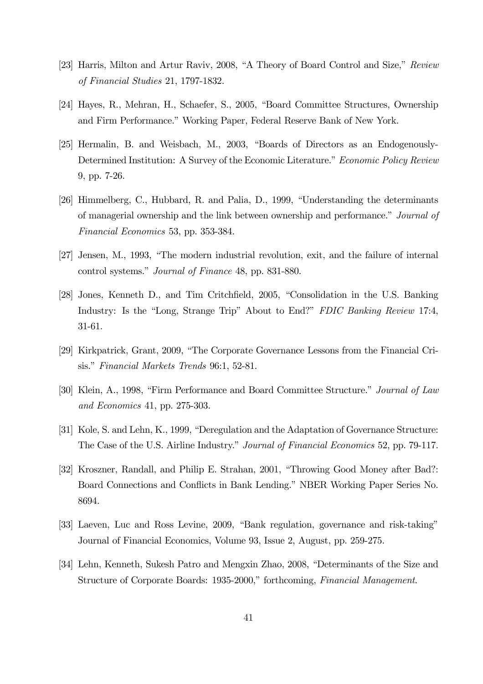- [23] Harris, Milton and Artur Raviv, 2008, "A Theory of Board Control and Size," Review of Financial Studies 21, 1797-1832.
- [24] Hayes, R., Mehran, H., Schaefer, S., 2005, "Board Committee Structures, Ownership and Firm Performance." Working Paper, Federal Reserve Bank of New York.
- [25] Hermalin, B. and Weisbach, M., 2003, "Boards of Directors as an Endogenously-Determined Institution: A Survey of the Economic Literature." Economic Policy Review 9, pp. 7-26.
- [26] Himmelberg, C., Hubbard, R. and Palia, D., 1999, "Understanding the determinants of managerial ownership and the link between ownership and performance." Journal of Financial Economics 53, pp. 353-384.
- [27] Jensen, M., 1993, "The modern industrial revolution, exit, and the failure of internal control systems." Journal of Finance 48, pp. 831-880.
- [28] Jones, Kenneth D., and Tim Critchfield, 2005, "Consolidation in the U.S. Banking Industry: Is the "Long, Strange Trip" About to End?" FDIC Banking Review 17:4, 31-61.
- [29] Kirkpatrick, Grant, 2009, "The Corporate Governance Lessons from the Financial Crisis." Financial Markets Trends 96:1, 52-81.
- [30] Klein, A., 1998, "Firm Performance and Board Committee Structure." Journal of Law and Economics 41, pp. 275-303.
- [31] Kole, S. and Lehn, K., 1999, "Deregulation and the Adaptation of Governance Structure: The Case of the U.S. Airline Industry." Journal of Financial Economics 52, pp. 79-117.
- [32] Kroszner, Randall, and Philip E. Strahan, 2001, "Throwing Good Money after Bad?: Board Connections and Conflicts in Bank Lending." NBER Working Paper Series No. 8694.
- [33] Laeven, Luc and Ross Levine, 2009, "Bank regulation, governance and risk-taking" Journal of Financial Economics, Volume 93, Issue 2, August, pp. 259-275.
- [34] Lehn, Kenneth, Sukesh Patro and Mengxin Zhao, 2008, "Determinants of the Size and Structure of Corporate Boards: 1935-2000," forthcoming, Financial Management.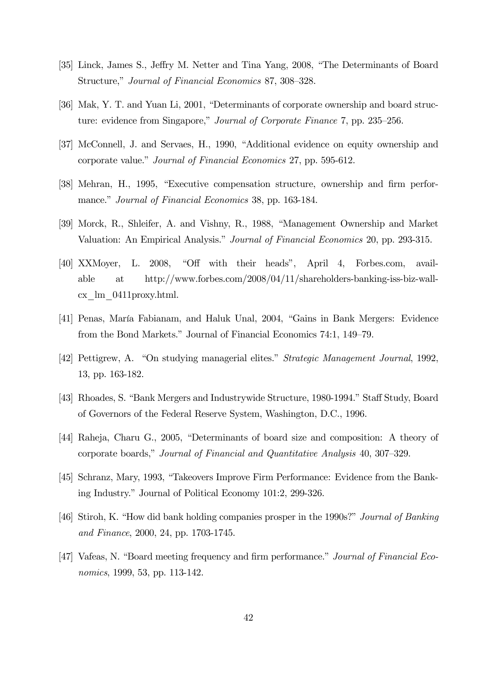- [35] Linck, James S., Jeffry M. Netter and Tina Yang, 2008, "The Determinants of Board Structure," Journal of Financial Economics 87, 308—328.
- [36] Mak, Y. T. and Yuan Li, 2001, "Determinants of corporate ownership and board structure: evidence from Singapore," Journal of Corporate Finance 7, pp. 235—256.
- [37] McConnell, J. and Servaes, H., 1990, "Additional evidence on equity ownership and corporate value." Journal of Financial Economics 27, pp. 595-612.
- [38] Mehran, H., 1995, "Executive compensation structure, ownership and firm performance." Journal of Financial Economics 38, pp. 163-184.
- [39] Morck, R., Shleifer, A. and Vishny, R., 1988, "Management Ownership and Market Valuation: An Empirical Analysis." Journal of Financial Economics 20, pp. 293-315.
- [40] XXMoyer, L. 2008, "Off with their heads", April 4, Forbes.com, available at http://www.forbes.com/2008/04/11/shareholders-banking-iss-biz-wallcx\_lm\_0411proxy.html.
- [41] Penas, María Fabianam, and Haluk Unal, 2004, "Gains in Bank Mergers: Evidence from the Bond Markets." Journal of Financial Economics 74:1, 149—79.
- [42] Pettigrew, A. "On studying managerial elites." Strategic Management Journal, 1992, 13, pp. 163-182.
- [43] Rhoades, S. "Bank Mergers and Industrywide Structure, 1980-1994." Staff Study, Board of Governors of the Federal Reserve System, Washington, D.C., 1996.
- [44] Raheja, Charu G., 2005, "Determinants of board size and composition: A theory of corporate boards," Journal of Financial and Quantitative Analysis 40, 307—329.
- [45] Schranz, Mary, 1993, "Takeovers Improve Firm Performance: Evidence from the Banking Industry." Journal of Political Economy 101:2, 299-326.
- [46] Stiroh, K. "How did bank holding companies prosper in the 1990s?" Journal of Banking and Finance, 2000, 24, pp. 1703-1745.
- [47] Vafeas, N. "Board meeting frequency and firm performance." Journal of Financial Economics, 1999, 53, pp. 113-142.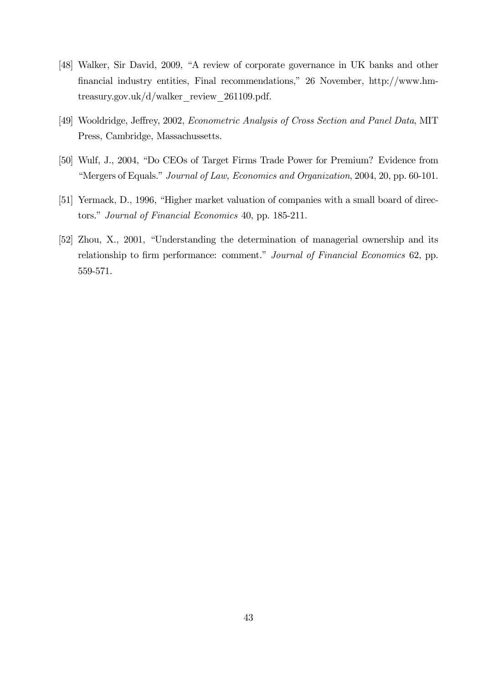- [48] Walker, Sir David, 2009, "A review of corporate governance in UK banks and other financial industry entities, Final recommendations," 26 November, http://www.hmtreasury.gov.uk/d/walker\_review\_261109.pdf.
- [49] Wooldridge, Jeffrey, 2002, Econometric Analysis of Cross Section and Panel Data, MIT Press, Cambridge, Massachussetts.
- [50] Wulf, J., 2004, "Do CEOs of Target Firms Trade Power for Premium? Evidence from "Mergers of Equals." Journal of Law, Economics and Organization, 2004, 20, pp. 60-101.
- [51] Yermack, D., 1996, "Higher market valuation of companies with a small board of directors." Journal of Financial Economics 40, pp. 185-211.
- [52] Zhou, X., 2001, "Understanding the determination of managerial ownership and its relationship to firm performance: comment." Journal of Financial Economics 62, pp. 559-571.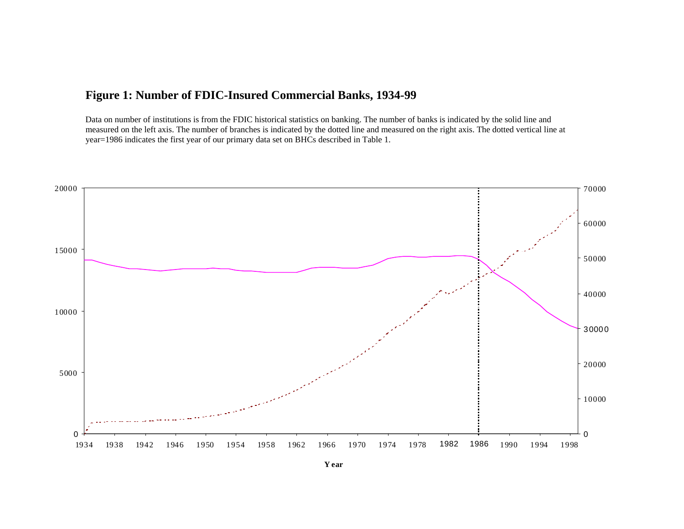# **Figure 1: Number of FDIC-Insured Commercial Banks, 1934-99**

Data on number of institutions is from the FDIC historical statistics on banking. The number of banks is indicated by the solid line and measured on the left axis. The number of branches is indicated by the dotted line and measured on the right axis. The dotted vertical line at year=1986 indicates the first year of our primary data set on BHCs described in Table 1.



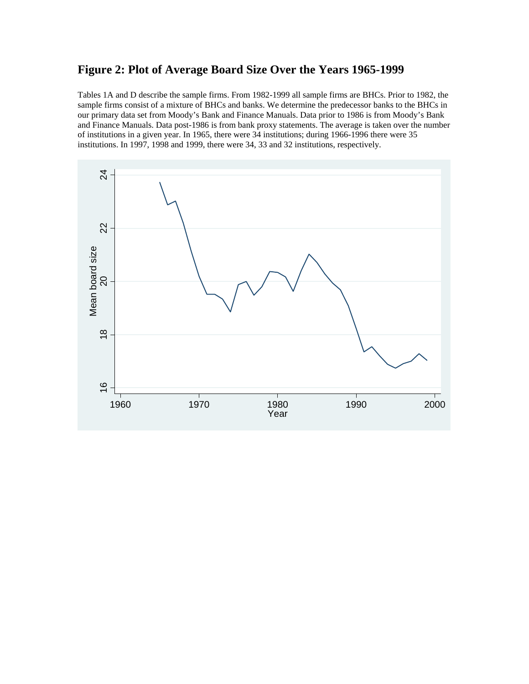# **Figure 2: Plot of Average Board Size Over the Years 1965-1999**

Tables 1A and D describe the sample firms. From 1982-1999 all sample firms are BHCs. Prior to 1982, the sample firms consist of a mixture of BHCs and banks. We determine the predecessor banks to the BHCs in our primary data set from Moody's Bank and Finance Manuals. Data prior to 1986 is from Moody's Bank and Finance Manuals. Data post-1986 is from bank proxy statements. The average is taken over the number of institutions in a given year. In 1965, there were 34 institutions; during 1966-1996 there were 35 institutions. In 1997, 1998 and 1999, there were 34, 33 and 32 institutions, respectively.

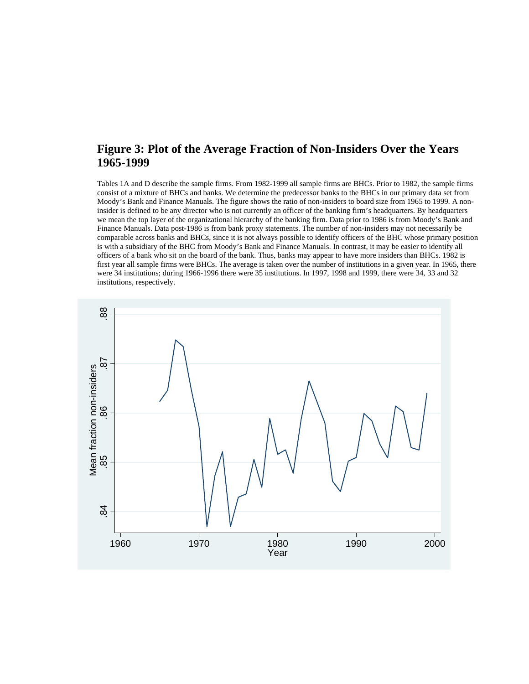# **Figure 3: Plot of the Average Fraction of Non-Insiders Over the Years 1965-1999**

Tables 1A and D describe the sample firms. From 1982-1999 all sample firms are BHCs. Prior to 1982, the sample firms consist of a mixture of BHCs and banks. We determine the predecessor banks to the BHCs in our primary data set from Moody's Bank and Finance Manuals. The figure shows the ratio of non-insiders to board size from 1965 to 1999. A noninsider is defined to be any director who is not currently an officer of the banking firm's headquarters. By headquarters we mean the top layer of the organizational hierarchy of the banking firm. Data prior to 1986 is from Moody's Bank and Finance Manuals. Data post-1986 is from bank proxy statements. The number of non-insiders may not necessarily be comparable across banks and BHCs, since it is not always possible to identify officers of the BHC whose primary position is with a subsidiary of the BHC from Moody's Bank and Finance Manuals. In contrast, it may be easier to identify all officers of a bank who sit on the board of the bank. Thus, banks may appear to have more insiders than BHCs. 1982 is first year all sample firms were BHCs. The average is taken over the number of institutions in a given year. In 1965, there were 34 institutions; during 1966-1996 there were 35 institutions. In 1997, 1998 and 1999, there were 34, 33 and 32 institutions, respectively.

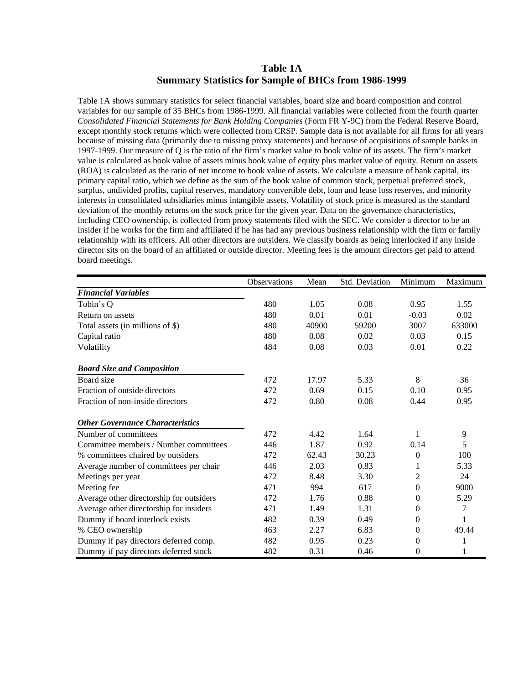### **Table 1A Summary Statistics for Sample of BHCs from 1986-1999**

Table 1A shows summary statistics for select financial variables, board size and board composition and control variables for our sample of 35 BHCs from 1986-1999. All financial variables were collected from the fourth quarter *Consolidated Financial Statements for Bank Holding Companies* (Form FR Y-9C) from the Federal Reserve Board, except monthly stock returns which were collected from CRSP. Sample data is not available for all firms for all years because of missing data (primarily due to missing proxy statements) and because of acquisitions of sample banks in 1997-1999. Our measure of Q is the ratio of the firm's market value to book value of its assets. The firm's market value is calculated as book value of assets minus book value of equity plus market value of equity. Return on assets (ROA) is calculated as the ratio of net income to book value of assets. We calculate a measure of bank capital, its primary capital ratio, which we define as the sum of the book value of common stock, perpetual preferred stock, surplus, undivided profits, capital reserves, mandatory convertible debt, loan and lease loss reserves, and minority interests in consolidated subsidiaries minus intangible assets. Volatility of stock price is measured as the standard deviation of the monthly returns on the stock price for the given year. Data on the governance characteristics, including CEO ownership, is collected from proxy statements filed with the SEC. We consider a director to be an insider if he works for the firm and affiliated if he has had any previous business relationship with the firm or family relationship with its officers. All other directors are outsiders. We classify boards as being interlocked if any inside director sits on the board of an affiliated or outside director. Meeting fees is the amount directors get paid to attend board meetings.

|                                          | <b>Observations</b> | Mean  | Std. Deviation | Minimum          | Maximum |
|------------------------------------------|---------------------|-------|----------------|------------------|---------|
| <b>Financial Variables</b>               |                     |       |                |                  |         |
| Tobin's Q                                | 480                 | 1.05  | 0.08           | 0.95             | 1.55    |
| Return on assets                         | 480                 | 0.01  | 0.01           | $-0.03$          | 0.02    |
| Total assets (in millions of \$)         | 480                 | 40900 | 59200          | 3007             | 633000  |
| Capital ratio                            | 480                 | 0.08  | 0.02           | 0.03             | 0.15    |
| Volatility                               | 484                 | 0.08  | 0.03           | 0.01             | 0.22    |
| <b>Board Size and Composition</b>        |                     |       |                |                  |         |
| Board size                               | 472                 | 17.97 | 5.33           | 8                | 36      |
| Fraction of outside directors            | 472                 | 0.69  | 0.15           | 0.10             | 0.95    |
| Fraction of non-inside directors         | 472                 | 0.80  | 0.08           | 0.44             | 0.95    |
| <b>Other Governance Characteristics</b>  |                     |       |                |                  |         |
| Number of committees                     | 472                 | 4.42  | 1.64           | 1                | 9       |
| Committee members / Number committees    | 446                 | 1.87  | 0.92           | 0.14             | 5       |
| % committees chaired by outsiders        | 472                 | 62.43 | 30.23          | $\boldsymbol{0}$ | 100     |
| Average number of committees per chair   | 446                 | 2.03  | 0.83           | 1                | 5.33    |
| Meetings per year                        | 472                 | 8.48  | 3.30           | 2                | 24      |
| Meeting fee                              | 471                 | 994   | 617            | $\mathbf{0}$     | 9000    |
| Average other directorship for outsiders | 472                 | 1.76  | 0.88           | $\mathbf{0}$     | 5.29    |
| Average other directorship for insiders  | 471                 | 1.49  | 1.31           | $\boldsymbol{0}$ | 7       |
| Dummy if board interlock exists          | 482                 | 0.39  | 0.49           | $\boldsymbol{0}$ | 1       |
| % CEO ownership                          | 463                 | 2.27  | 6.83           | $\theta$         | 49.44   |
| Dummy if pay directors deferred comp.    | 482                 | 0.95  | 0.23           | $\boldsymbol{0}$ | 1       |
| Dummy if pay directors deferred stock    | 482                 | 0.31  | 0.46           | $\theta$         |         |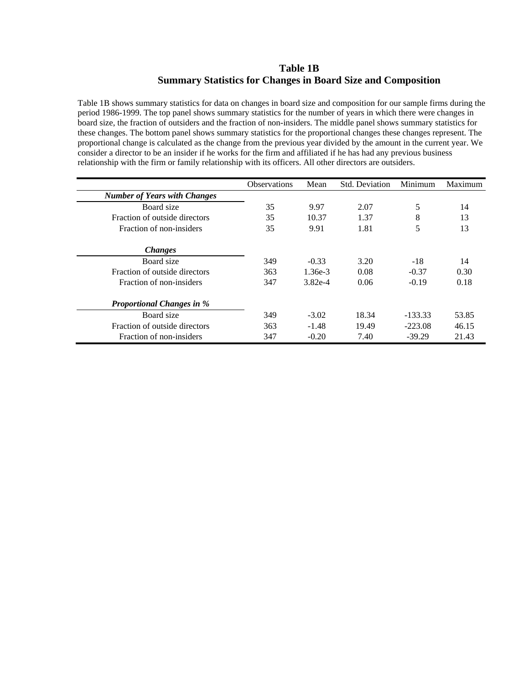# **Table 1B Summary Statistics for Changes in Board Size and Composition**

Table 1B shows summary statistics for data on changes in board size and composition for our sample firms during the period 1986-1999. The top panel shows summary statistics for the number of years in which there were changes in board size, the fraction of outsiders and the fraction of non-insiders. The middle panel shows summary statistics for these changes. The bottom panel shows summary statistics for the proportional changes these changes represent. The proportional change is calculated as the change from the previous year divided by the amount in the current year. We consider a director to be an insider if he works for the firm and affiliated if he has had any previous business relationship with the firm or family relationship with its officers. All other directors are outsiders.

|                                     | <b>Observations</b> | Mean      | Std. Deviation | Minimum   | Maximum |
|-------------------------------------|---------------------|-----------|----------------|-----------|---------|
| <b>Number of Years with Changes</b> |                     |           |                |           |         |
| Board size                          | 35                  | 9.97      | 2.07           | 5         | 14      |
| Fraction of outside directors       | 35                  | 10.37     | 1.37           | 8         | 13      |
| Fraction of non-insiders            | 35                  | 9.91      | 1.81           | 5         | 13      |
| <b>Changes</b>                      |                     |           |                |           |         |
| Board size                          | 349                 | $-0.33$   | 3.20           | $-18$     | 14      |
| Fraction of outside directors       | 363                 | $1.36e-3$ | 0.08           | $-0.37$   | 0.30    |
| Fraction of non-insiders            | 347                 | $3.82e-4$ | 0.06           | $-0.19$   | 0.18    |
| <b>Proportional Changes in %</b>    |                     |           |                |           |         |
| Board size                          | 349                 | $-3.02$   | 18.34          | $-133.33$ | 53.85   |
| Fraction of outside directors       | 363                 | $-1.48$   | 19.49          | $-223.08$ | 46.15   |
| Fraction of non-insiders            | 347                 | $-0.20$   | 7.40           | $-39.29$  | 21.43   |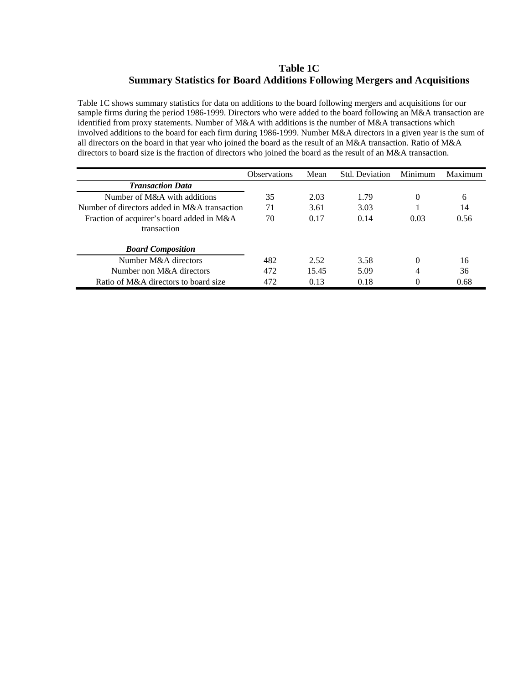# **Table 1C Summary Statistics for Board Additions Following Mergers and Acquisitions**

Table 1C shows summary statistics for data on additions to the board following mergers and acquisitions for our sample firms during the period 1986-1999. Directors who were added to the board following an M&A transaction are identified from proxy statements. Number of M&A with additions is the number of M&A transactions which involved additions to the board for each firm during 1986-1999. Number M&A directors in a given year is the sum of all directors on the board in that year who joined the board as the result of an M&A transaction. Ratio of M&A directors to board size is the fraction of directors who joined the board as the result of an M&A transaction.

|                                              | <b>Observations</b> | Mean  | Std. Deviation | Minimum        | Maximum |
|----------------------------------------------|---------------------|-------|----------------|----------------|---------|
| <b>Transaction Data</b>                      |                     |       |                |                |         |
| Number of M&A with additions                 | 35                  | 2.03  | 1.79           | $\theta$       | 6       |
| Number of directors added in M&A transaction | 71                  | 3.61  | 3.03           |                | 14      |
| Fraction of acquirer's board added in M&A    | 70                  | 0.17  | 0.14           | 0.03           | 0.56    |
| transaction                                  |                     |       |                |                |         |
| <b>Board Composition</b>                     |                     |       |                |                |         |
| Number M&A directors                         | 482                 | 2.52  | 3.58           | 0              | 16      |
| Number non M&A directors                     | 472                 | 15.45 | 5.09           | $\overline{4}$ | 36      |
| Ratio of M&A directors to board size         | 472                 | 0.13  | 0.18           | 0              | 0.68    |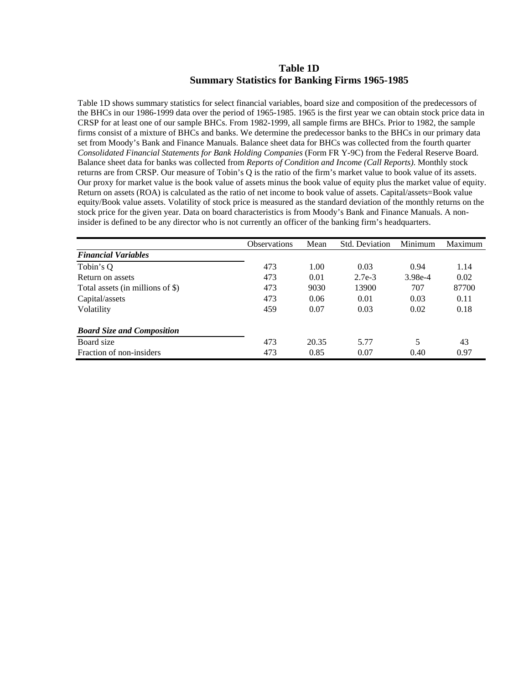### **Table 1D Summary Statistics for Banking Firms 1965-1985**

Table 1D shows summary statistics for select financial variables, board size and composition of the predecessors of the BHCs in our 1986-1999 data over the period of 1965-1985. 1965 is the first year we can obtain stock price data in CRSP for at least one of our sample BHCs. From 1982-1999, all sample firms are BHCs. Prior to 1982, the sample firms consist of a mixture of BHCs and banks. We determine the predecessor banks to the BHCs in our primary data set from Moody's Bank and Finance Manuals. Balance sheet data for BHCs was collected from the fourth quarter *Consolidated Financial Statements for Bank Holding Companies* (Form FR Y-9C) from the Federal Reserve Board. Balance sheet data for banks was collected from *Reports of Condition and Income (Call Reports)*. Monthly stock returns are from CRSP. Our measure of Tobin's Q is the ratio of the firm's market value to book value of its assets. Our proxy for market value is the book value of assets minus the book value of equity plus the market value of equity. Return on assets (ROA) is calculated as the ratio of net income to book value of assets. Capital/assets=Book value equity/Book value assets. Volatility of stock price is measured as the standard deviation of the monthly returns on the stock price for the given year. Data on board characteristics is from Moody's Bank and Finance Manuals. A noninsider is defined to be any director who is not currently an officer of the banking firm's headquarters.

|                                   | <b>Observations</b> | Mean  | Std. Deviation | Minimum   | Maximum |
|-----------------------------------|---------------------|-------|----------------|-----------|---------|
| <b>Financial Variables</b>        |                     |       |                |           |         |
| Tobin's Q                         | 473                 | 1.00  | 0.03           | 0.94      | 1.14    |
| Return on assets                  | 473                 | 0.01  | $2.7e-3$       | $3.98e-4$ | 0.02    |
| Total assets (in millions of \$)  | 473                 | 9030  | 13900          | 707       | 87700   |
| Capital/assets                    | 473                 | 0.06  | 0.01           | 0.03      | 0.11    |
| Volatility                        | 459                 | 0.07  | 0.03           | 0.02      | 0.18    |
| <b>Board Size and Composition</b> |                     |       |                |           |         |
| Board size                        | 473                 | 20.35 | 5.77           | 5         | 43      |
| Fraction of non-insiders          | 473                 | 0.85  | 0.07           | 0.40      | 0.97    |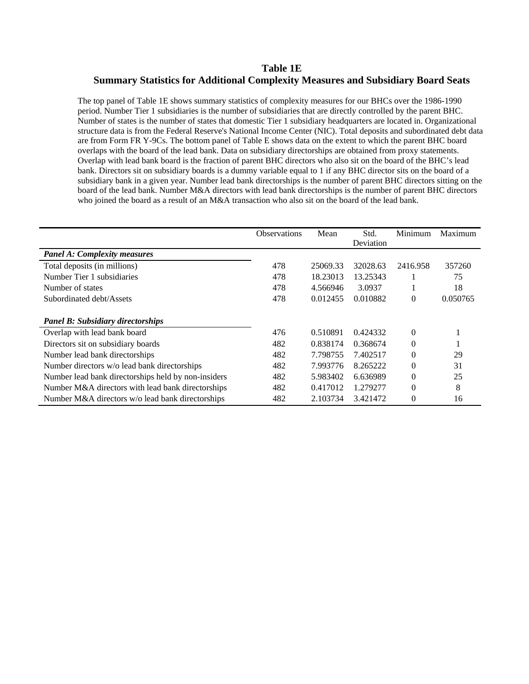# **Table 1E Summary Statistics for Additional Complexity Measures and Subsidiary Board Seats**

The top panel of Table 1E shows summary statistics of complexity measures for our BHCs over the 1986-1990 period. Number Tier 1 subsidiaries is the number of subsidiaries that are directly controlled by the parent BHC. Number of states is the number of states that domestic Tier 1 subsidiary headquarters are located in. Organizational structure data is from the Federal Reserve's National Income Center (NIC). Total deposits and subordinated debt data are from Form FR Y-9Cs. The bottom panel of Table E shows data on the extent to which the parent BHC board overlaps with the board of the lead bank. Data on subsidiary directorships are obtained from proxy statements. Overlap with lead bank board is the fraction of parent BHC directors who also sit on the board of the BHC's lead bank. Directors sit on subsidiary boards is a dummy variable equal to 1 if any BHC director sits on the board of a subsidiary bank in a given year. Number lead bank directorships is the number of parent BHC directors sitting on the board of the lead bank. Number M&A directors with lead bank directorships is the number of parent BHC directors who joined the board as a result of an M&A transaction who also sit on the board of the lead bank.

|                                                     | <b>Observations</b> | Mean     | Std.      | Minimum        | Maximum  |
|-----------------------------------------------------|---------------------|----------|-----------|----------------|----------|
|                                                     |                     |          | Deviation |                |          |
| <b>Panel A: Complexity measures</b>                 |                     |          |           |                |          |
| Total deposits (in millions)                        | 478                 | 25069.33 | 32028.63  | 2416.958       | 357260   |
| Number Tier 1 subsidiaries                          | 478                 | 18.23013 | 13.25343  |                | 75       |
| Number of states                                    | 478                 | 4.566946 | 3.0937    |                | 18       |
| Subordinated debt/Assets                            | 478                 | 0.012455 | 0.010882  | $\overline{0}$ | 0.050765 |
|                                                     |                     |          |           |                |          |
| <b>Panel B: Subsidiary directorships</b>            |                     |          |           |                |          |
| Overlap with lead bank board                        | 476                 | 0.510891 | 0.424332  | $\theta$       |          |
| Directors sit on subsidiary boards                  | 482                 | 0.838174 | 0.368674  | $\Omega$       |          |
| Number lead bank directorships                      | 482                 | 7.798755 | 7.402517  | $\Omega$       | 29       |
| Number directors w/o lead bank directorships        | 482                 | 7.993776 | 8.265222  | $\Omega$       | 31       |
| Number lead bank directorships held by non-insiders | 482                 | 5.983402 | 6.636989  | $\Omega$       | 25       |
| Number M&A directors with lead bank directorships   | 482                 | 0.417012 | 1.279277  | $\Omega$       | 8        |
| Number M&A directors w/o lead bank directorships    | 482                 | 2.103734 | 3.421472  | $\Omega$       | 16       |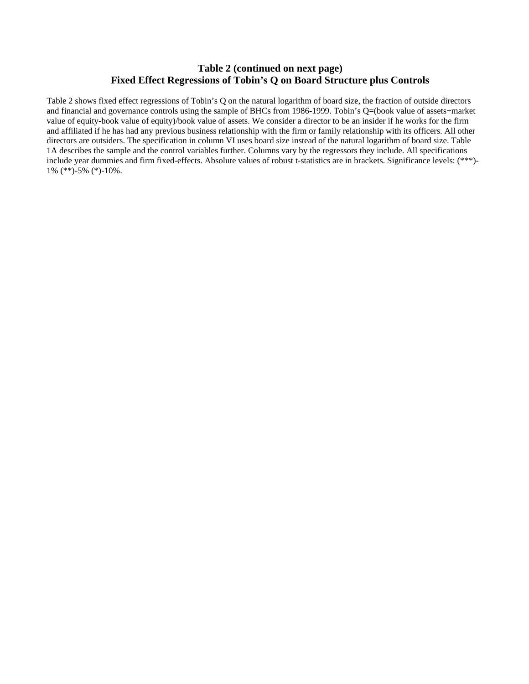### **Table 2 (continued on next page) Fixed Effect Regressions of Tobin's Q on Board Structure plus Controls**

Table 2 shows fixed effect regressions of Tobin's Q on the natural logarithm of board size, the fraction of outside directors and financial and governance controls using the sample of BHCs from 1986-1999. Tobin's Q=(book value of assets+market value of equity-book value of equity)/book value of assets. We consider a director to be an insider if he works for the firm and affiliated if he has had any previous business relationship with the firm or family relationship with its officers. All other directors are outsiders. The specification in column VI uses board size instead of the natural logarithm of board size. Table 1A describes the sample and the control variables further. Columns vary by the regressors they include. All specifications include year dummies and firm fixed-effects. Absolute values of robust t-statistics are in brackets. Significance levels: (\*\*\*)- 1% (\*\*)-5% (\*)-10%.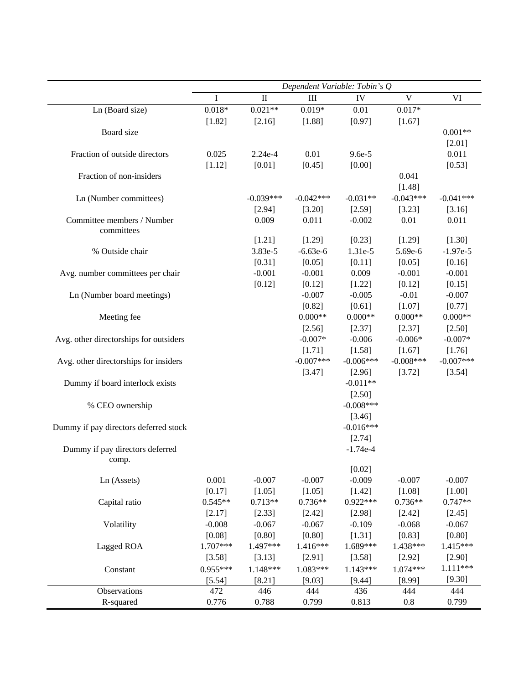|                                        | Dependent Variable: Tobin's Q |                         |             |             |                         |             |  |  |
|----------------------------------------|-------------------------------|-------------------------|-------------|-------------|-------------------------|-------------|--|--|
|                                        | I                             | $\overline{\mathbf{I}}$ | $\rm III$   | IV          | $\overline{\mathbf{V}}$ | VI          |  |  |
| Ln (Board size)                        | $0.018*$                      | $0.021**$               | $0.019*$    | $0.01\,$    | $0.017*$                |             |  |  |
|                                        | [1.82]                        | [2.16]                  | [1.88]      | [0.97]      | [1.67]                  |             |  |  |
| Board size                             |                               |                         |             |             |                         | $0.001**$   |  |  |
|                                        |                               |                         |             |             |                         | [2.01]      |  |  |
| Fraction of outside directors          | 0.025                         | $2.24e-4$               | 0.01        | $9.6e-5$    |                         | 0.011       |  |  |
|                                        | [1.12]                        | [0.01]                  | [0.45]      | [0.00]      |                         | [0.53]      |  |  |
| Fraction of non-insiders               |                               |                         |             |             | 0.041                   |             |  |  |
|                                        |                               |                         |             |             | [1.48]                  |             |  |  |
| Ln (Number committees)                 |                               | $-0.039***$             | $-0.042***$ | $-0.031**$  | $-0.043***$             | $-0.041***$ |  |  |
|                                        |                               | [2.94]                  | [3.20]      | [2.59]      | [3.23]                  | [3.16]      |  |  |
| Committee members / Number             |                               | 0.009                   | 0.011       | $-0.002$    | 0.01                    | 0.011       |  |  |
| committees                             |                               |                         |             |             |                         |             |  |  |
|                                        |                               | [1.21]                  | [1.29]      | [0.23]      | [1.29]                  | [1.30]      |  |  |
| % Outside chair                        |                               | 3.83e-5                 | $-6.63e-6$  | 1.31e-5     | 5.69e-6                 | $-1.97e-5$  |  |  |
|                                        |                               | [0.31]                  | [0.05]      | [0.11]      | [0.05]                  | [0.16]      |  |  |
| Avg. number committees per chair       |                               | $-0.001$                | $-0.001$    | 0.009       | $-0.001$                | $-0.001$    |  |  |
|                                        |                               | [0.12]                  | [0.12]      | [1.22]      | [0.12]                  | [0.15]      |  |  |
| Ln (Number board meetings)             |                               |                         | $-0.007$    | $-0.005$    | $-0.01$                 | $-0.007$    |  |  |
|                                        |                               |                         | [0.82]      | [0.61]      | [1.07]                  | [0.77]      |  |  |
| Meeting fee                            |                               |                         | $0.000**$   | $0.000**$   | $0.000**$               | $0.000**$   |  |  |
|                                        |                               |                         | [2.56]      | [2.37]      | [2.37]                  | [2.50]      |  |  |
| Avg. other directorships for outsiders |                               |                         | $-0.007*$   | $-0.006$    | $-0.006*$               | $-0.007*$   |  |  |
|                                        |                               |                         | [1.71]      | [1.58]      | [1.67]                  | [1.76]      |  |  |
| Avg. other directorships for insiders  |                               |                         | $-0.007***$ | $-0.006***$ | $-0.008***$             | $-0.007***$ |  |  |
|                                        |                               |                         | [3.47]      | [2.96]      | [3.72]                  | [3.54]      |  |  |
| Dummy if board interlock exists        |                               |                         |             | $-0.011**$  |                         |             |  |  |
|                                        |                               |                         |             | [2.50]      |                         |             |  |  |
| % CEO ownership                        |                               |                         |             | $-0.008***$ |                         |             |  |  |
|                                        |                               |                         |             | [3.46]      |                         |             |  |  |
| Dummy if pay directors deferred stock  |                               |                         |             | $-0.016***$ |                         |             |  |  |
|                                        |                               |                         |             | [2.74]      |                         |             |  |  |
| Dummy if pay directors deferred        |                               |                         |             | $-1.74e-4$  |                         |             |  |  |
| comp.                                  |                               |                         |             |             |                         |             |  |  |
|                                        |                               |                         |             | [0.02]      |                         |             |  |  |
| Ln (Assets)                            | 0.001                         | $-0.007$                | $-0.007$    | $-0.009$    | $-0.007$                | $-0.007$    |  |  |
|                                        | [0.17]                        | [1.05]                  | [1.05]      | [1.42]      | [1.08]                  | [1.00]      |  |  |
| Capital ratio                          | $0.545**$                     | $0.713**$               | $0.736**$   | $0.922***$  | $0.736**$               | $0.747**$   |  |  |
|                                        | [2.17]                        | [2.33]                  | [2.42]      | [2.98]      | $[2.42]$                | [2.45]      |  |  |
| Volatility                             | $-0.008$                      | $-0.067$                | $-0.067$    | $-0.109$    | $-0.068$                | $-0.067$    |  |  |
|                                        | [0.08]                        | [0.80]                  | [0.80]      | [1.31]      | [0.83]                  | [0.80]      |  |  |
| Lagged ROA                             | 1.707***                      | 1.497***                | 1.416***    | 1.689***    | 1.438***                | 1.415***    |  |  |
|                                        | [3.58]                        | [3.13]                  | [2.91]      | [3.58]      | [2.92]                  | [2.90]      |  |  |
| Constant                               | $0.955***$                    | $1.148***$              | 1.083***    | $1.143***$  | 1.074***                | $1.111***$  |  |  |
|                                        | [5.54]                        | [8.21]                  | [9.03]      | [9.44]      | [8.99]                  | [9.30]      |  |  |
| Observations                           | 472                           | 446                     | 444         | 436         | 444                     | 444         |  |  |
| R-squared                              | 0.776                         | 0.788                   | 0.799       | 0.813       | $0.8\,$                 | 0.799       |  |  |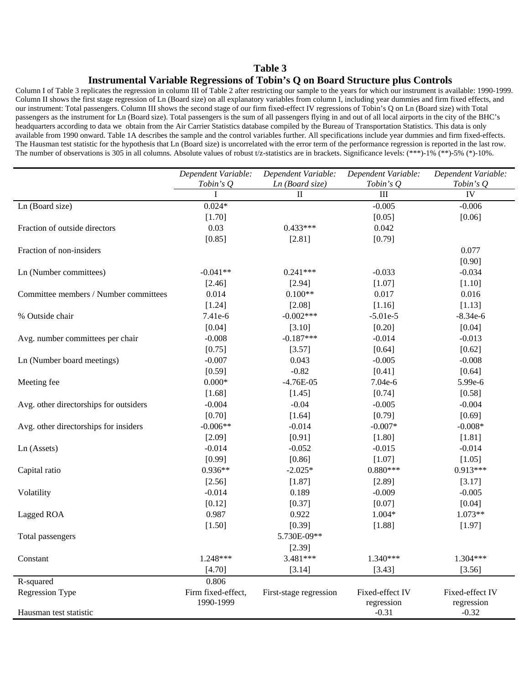# **Table 3 Instrumental Variable Regressions of Tobin's Q on Board Structure plus Controls**

Column I of Table 3 replicates the regression in column III of Table 2 after restricting our sample to the years for which our instrument is available: 1990-1999. Column II shows the first stage regression of Ln (Board size) on all explanatory variables from column I, including year dummies and firm fixed effects, and our instrument: Total passengers. Column III shows the second stage of our firm fixed-effect IV regressions of Tobin's Q on Ln (Board size) with Total passengers as the instrument for Ln (Board size). Total passengers is the sum of all passengers flying in and out of all local airports in the city of the BHC's headquarters according to data we obtain from the Air Carrier Statistics database compiled by the Bureau of Transportation Statistics. This data is only available from 1990 onward. Table 1A describes the sample and the control variables further. All specifications include year dummies and firm fixed-effects. The Hausman test statistic for the hypothesis that Ln (Board size) is uncorrelated with the error term of the performance regression is reported in the last row. The number of observations is 305 in all columns. Absolute values of robust t/z-statistics are in brackets. Significance levels: (\*\*\*)-1% (\*\*)-5% (\*)-10%.

|                                        | Dependent Variable: | Dependent Variable:    | Dependent Variable: | Dependent Variable: |
|----------------------------------------|---------------------|------------------------|---------------------|---------------------|
|                                        | Tobin's $Q$         | Ln (Board size)        | Tobin's Q           | Tobin's Q           |
|                                        | 1                   | $\mathbf{I}$           | III                 | IV                  |
| Ln (Board size)                        | $0.024*$            |                        | $-0.005$            | $-0.006$            |
|                                        | [1.70]              |                        | [0.05]              | [0.06]              |
| Fraction of outside directors          | 0.03                | $0.433***$             | 0.042               |                     |
|                                        | [0.85]              | [2.81]                 | [0.79]              |                     |
| Fraction of non-insiders               |                     |                        |                     | 0.077               |
|                                        |                     |                        |                     | [0.90]              |
| Ln (Number committees)                 | $-0.041**$          | $0.241***$             | $-0.033$            | $-0.034$            |
|                                        | [2.46]              | [2.94]                 | [1.07]              | [1.10]              |
| Committee members / Number committees  | 0.014               | $0.100**$              | 0.017               | 0.016               |
|                                        | [1.24]              | [2.08]                 | [1.16]              | [1.13]              |
| % Outside chair                        | 7.41e-6             | $-0.002***$            | $-5.01e-5$          | $-8.34e-6$          |
|                                        | [0.04]              | [3.10]                 | [0.20]              | [0.04]              |
| Avg. number committees per chair       | $-0.008$            | $-0.187***$            | $-0.014$            | $-0.013$            |
|                                        | [0.75]              | [3.57]                 | [0.64]              | [0.62]              |
| Ln (Number board meetings)             | $-0.007$            | 0.043                  | $-0.005$            | $-0.008$            |
|                                        | [0.59]              | $-0.82$                | [0.41]              | [0.64]              |
| Meeting fee                            | $0.000*$            | $-4.76E-05$            | 7.04e-6             | 5.99e-6             |
|                                        | [1.68]              | [1.45]                 | [0.74]              | [0.58]              |
| Avg. other directorships for outsiders | $-0.004$            | $-0.04$                | $-0.005$            | $-0.004$            |
|                                        | [0.70]              | [1.64]                 | [0.79]              | [0.69]              |
| Avg. other directorships for insiders  | $-0.006**$          | $-0.014$               | $-0.007*$           | $-0.008*$           |
|                                        | [2.09]              | [0.91]                 | [1.80]              | [1.81]              |
| Ln (Assets)                            | $-0.014$            | $-0.052$               | $-0.015$            | $-0.014$            |
|                                        | [0.99]              | [0.86]                 | [1.07]              | [1.05]              |
| Capital ratio                          | $0.936**$           | $-2.025*$              | $0.880***$          | $0.913***$          |
|                                        | [2.56]              | [1.87]                 | [2.89]              | [3.17]              |
| Volatility                             | $-0.014$            | 0.189                  | $-0.009$            | $-0.005$            |
|                                        | [0.12]              | [0.37]                 | [0.07]              | [0.04]              |
| Lagged ROA                             | 0.987               | 0.922                  | $1.004*$            | $1.073**$           |
|                                        | [1.50]              | [0.39]                 | [1.88]              | [1.97]              |
| Total passengers                       |                     | 5.730E-09**            |                     |                     |
|                                        |                     | [2.39]                 |                     |                     |
| Constant                               | $1.248***$          | 3.481***               | $1.340***$          | 1.304***            |
|                                        | [4.70]              | [3.14]                 | [3.43]              | [3.56]              |
| R-squared                              | 0.806               |                        |                     |                     |
| <b>Regression Type</b>                 | Firm fixed-effect,  | First-stage regression | Fixed-effect IV     | Fixed-effect IV     |
|                                        | 1990-1999           |                        | regression          | regression          |
| Hausman test statistic                 |                     |                        | $-0.31$             | $-0.32$             |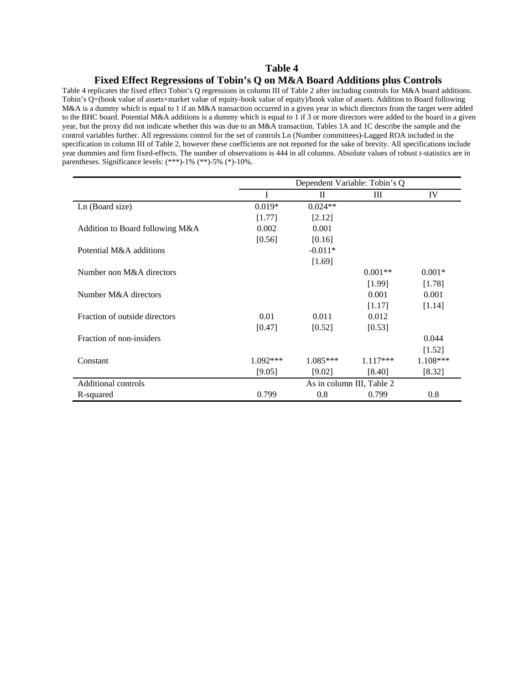### **Table 4 Fixed Effect Regressions of Tobin's Q on M&A Board Additions plus Controls**

Table 4 replicates the fixed effect Tobin's Q regressions in column III of Table 2 after including controls for M&A board additions. Tobin's Q=(book value of assets+market value of equity-book value of equity)/book value of assets. Addition to Board following M&A is a dummy which is equal to 1 if an M&A transaction occurred in a given year in which directors from the target were added to the BHC board. Potential M&A additions is a dummy which is equal to 1 if 3 or more directors were added to the board in a given year, but the proxy did not indicate whether this was due to an M&A transaction. Tables 1A and 1C describe the sample and the control variables further. All regressions control for the set of controls Ln (Number committees)-Lagged ROA included in the specification in column III of Table 2, however these coefficients are not reported for the sake of brevity. All specifications include year dummies and firm fixed-effects. The number of observations is 444 in all columns. Absolute values of robust t-statistics are in parentheses. Significance levels: (\*\*\*)-1% (\*\*)-5% (\*)-10%.

|                                 | Dependent Variable: Tobin's Q |                           |            |            |  |  |  |
|---------------------------------|-------------------------------|---------------------------|------------|------------|--|--|--|
|                                 |                               | П                         | Ш          | IV         |  |  |  |
| Ln (Board size)                 | $0.019*$                      | $0.024**$                 |            |            |  |  |  |
|                                 | [1.77]                        | [2.12]                    |            |            |  |  |  |
| Addition to Board following M&A | 0.002                         | 0.001                     |            |            |  |  |  |
|                                 | [0.56]                        | [0.16]                    |            |            |  |  |  |
| Potential M&A additions         |                               | $-0.011*$                 |            |            |  |  |  |
|                                 |                               | [1.69]                    |            |            |  |  |  |
| Number non M&A directors        |                               |                           | $0.001**$  | $0.001*$   |  |  |  |
|                                 |                               |                           | [1.99]     | [1.78]     |  |  |  |
| Number M&A directors            |                               |                           | 0.001      | 0.001      |  |  |  |
|                                 |                               |                           | [1.17]     | [1.14]     |  |  |  |
| Fraction of outside directors   | 0.01                          | 0.011                     | 0.012      |            |  |  |  |
|                                 | [0.47]                        | [0.52]                    | [0.53]     |            |  |  |  |
| Fraction of non-insiders        |                               |                           |            | 0.044      |  |  |  |
|                                 |                               |                           |            | [1.52]     |  |  |  |
| Constant                        | $1.092***$                    | $1.085***$                | $1.117***$ | $1.108***$ |  |  |  |
|                                 | [9.05]                        | [9.02]                    | [8.40]     | [8.32]     |  |  |  |
| <b>Additional controls</b>      |                               | As in column III, Table 2 |            |            |  |  |  |
| R-squared                       | 0.799                         | 0.8                       | 0.799      | 0.8        |  |  |  |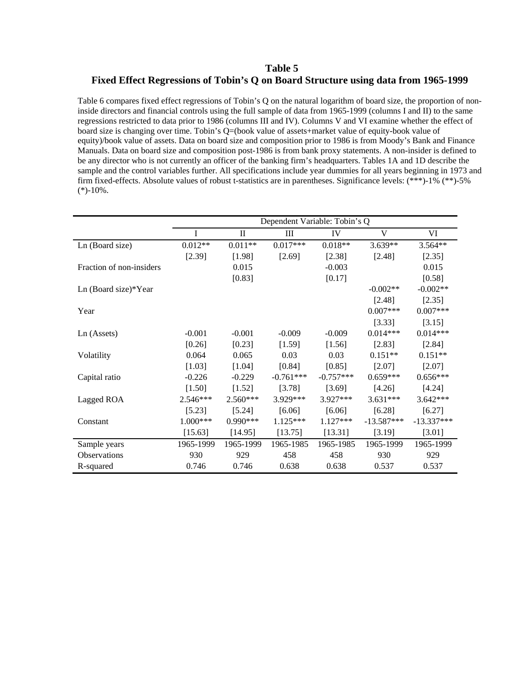# **Table 5 Fixed Effect Regressions of Tobin's Q on Board Structure using data from 1965-1999**

Table 6 compares fixed effect regressions of Tobin's Q on the natural logarithm of board size, the proportion of noninside directors and financial controls using the full sample of data from 1965-1999 (columns I and II) to the same regressions restricted to data prior to 1986 (columns III and IV). Columns V and VI examine whether the effect of board size is changing over time. Tobin's Q=(book value of assets+market value of equity-book value of equity)/book value of assets. Data on board size and composition prior to 1986 is from Moody's Bank and Finance Manuals. Data on board size and composition post-1986 is from bank proxy statements. A non-insider is defined to be any director who is not currently an officer of the banking firm's headquarters. Tables 1A and 1D describe the sample and the control variables further. All specifications include year dummies for all years beginning in 1973 and firm fixed-effects. Absolute values of robust t-statistics are in parentheses. Significance levels: (\*\*\*)-1% (\*\*)-5%  $(*)-10\%$ .

|                          | Dependent Variable: Tobin's Q |              |             |             |              |              |  |  |
|--------------------------|-------------------------------|--------------|-------------|-------------|--------------|--------------|--|--|
|                          | I                             | $\mathbf{I}$ | Ш           | IV          | V            | VI           |  |  |
| Ln (Board size)          | $0.012**$                     | $0.011**$    | $0.017***$  | $0.018**$   | $3.639**$    | $3.564**$    |  |  |
|                          | [2.39]                        | [1.98]       | [2.69]      | [2.38]      | [2.48]       | [2.35]       |  |  |
| Fraction of non-insiders |                               | 0.015        |             | $-0.003$    |              | 0.015        |  |  |
|                          |                               | [0.83]       |             | $[0.17]$    |              | [0.58]       |  |  |
| Ln (Board size)*Year     |                               |              |             |             | $-0.002**$   | $-0.002**$   |  |  |
|                          |                               |              |             |             | [2.48]       | [2.35]       |  |  |
| Year                     |                               |              |             |             | $0.007***$   | $0.007***$   |  |  |
|                          |                               |              |             |             | [3.33]       | [3.15]       |  |  |
| Ln (Assets)              | $-0.001$                      | $-0.001$     | $-0.009$    | $-0.009$    | $0.014***$   | $0.014***$   |  |  |
|                          | [0.26]                        | [0.23]       | [1.59]      | $[1.56]$    | $[2.83]$     | [2.84]       |  |  |
| Volatility               | 0.064                         | 0.065        | 0.03        | 0.03        | $0.151**$    | $0.151**$    |  |  |
|                          | [1.03]                        | [1.04]       | [0.84]      | [0.85]      | [2.07]       | [2.07]       |  |  |
| Capital ratio            | $-0.226$                      | $-0.229$     | $-0.761***$ | $-0.757***$ | $0.659***$   | $0.656***$   |  |  |
|                          | $[1.50]$                      | [1.52]       | [3.78]      | [3.69]      | [4.26]       | [4.24]       |  |  |
| Lagged ROA               | 2.546***                      | $2.560***$   | 3.929***    | 3.927***    | $3.631***$   | $3.642***$   |  |  |
|                          | [5.23]                        | [5.24]       | [6.06]      | [6.06]      | [6.28]       | [6.27]       |  |  |
| Constant                 | $1.000***$                    | $0.990***$   | $1.125***$  | $1.127***$  | $-13.587***$ | $-13.337***$ |  |  |
|                          | [15.63]                       | [14.95]      | [13.75]     | [13.31]     | [3.19]       | [3.01]       |  |  |
| Sample years             | 1965-1999                     | 1965-1999    | 1965-1985   | 1965-1985   | 1965-1999    | 1965-1999    |  |  |
| <b>Observations</b>      | 930                           | 929          | 458         | 458         | 930          | 929          |  |  |
| R-squared                | 0.746                         | 0.746        | 0.638       | 0.638       | 0.537        | 0.537        |  |  |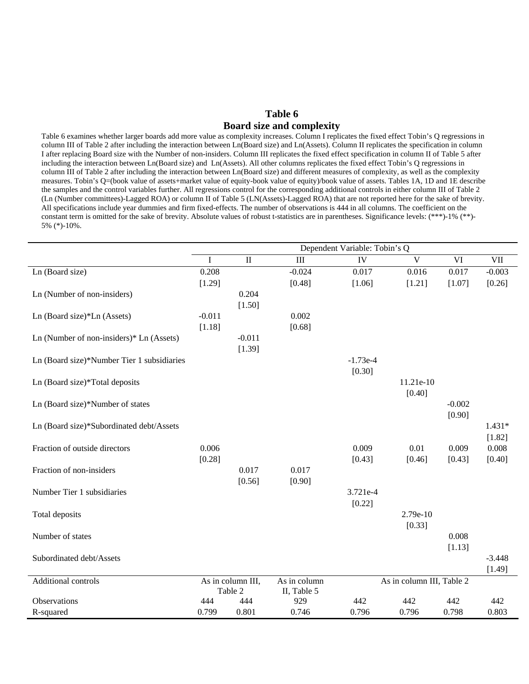# **Table 6 Board size and complexity**

Table 6 examines whether larger boards add more value as complexity increases. Column I replicates the fixed effect Tobin's Q regressions in column III of Table 2 after including the interaction between Ln(Board size) and Ln(Assets). Column II replicates the specification in column I after replacing Board size with the Number of non-insiders. Column III replicates the fixed effect specification in column II of Table 5 after including the interaction between Ln(Board size) and Ln(Assets). All other columns replicates the fixed effect Tobin's Q regressions in column III of Table 2 after including the interaction between Ln(Board size) and different measures of complexity, as well as the complexity measures. Tobin's Q=(book value of assets+market value of equity-book value of equity)/book value of assets. Tables 1A, 1D and 1E describe the samples and the control variables further. All regressions control for the corresponding additional controls in either column III of Table 2 (Ln (Number committees)-Lagged ROA) or column II of Table 5 (LN(Assets)-Lagged ROA) that are not reported here for the sake of brevity. All specifications include year dummies and firm fixed-effects. The number of observations is 444 in all columns. The coefficient on the constant term is omitted for the sake of brevity. Absolute values of robust t-statistics are in parentheses. Significance levels: (\*\*\*)-1% (\*\*)-5% (\*)-10%.

|                                            | Dependent Variable: Tobin's Q |                   |              |            |                           |          |            |  |
|--------------------------------------------|-------------------------------|-------------------|--------------|------------|---------------------------|----------|------------|--|
|                                            | I                             | $\rm II$          | $\rm III$    | IV         | $\overline{\mathbf{V}}$   | VI       | <b>VII</b> |  |
| Ln (Board size)                            | 0.208                         |                   | $-0.024$     | 0.017      | 0.016                     | 0.017    | $-0.003$   |  |
|                                            | [1.29]                        |                   | [0.48]       | [1.06]     | [1.21]                    | [1.07]   | [0.26]     |  |
| Ln (Number of non-insiders)                |                               | 0.204             |              |            |                           |          |            |  |
|                                            |                               | [1.50]            |              |            |                           |          |            |  |
| Ln (Board size)*Ln (Assets)                | $-0.011$                      |                   | 0.002        |            |                           |          |            |  |
|                                            | [1.18]                        |                   | [0.68]       |            |                           |          |            |  |
| Ln (Number of non-insiders)* Ln (Assets)   |                               | $-0.011$          |              |            |                           |          |            |  |
|                                            |                               | [1.39]            |              |            |                           |          |            |  |
| Ln (Board size)*Number Tier 1 subsidiaries |                               |                   |              | $-1.73e-4$ |                           |          |            |  |
|                                            |                               |                   |              | [0.30]     |                           |          |            |  |
| Ln (Board size)*Total deposits             |                               |                   |              |            | 11.21e-10                 |          |            |  |
|                                            |                               |                   |              |            | [0.40]                    |          |            |  |
| Ln (Board size)*Number of states           |                               |                   |              |            |                           | $-0.002$ |            |  |
|                                            |                               |                   |              |            |                           | [0.90]   | $1.431*$   |  |
| Ln (Board size)*Subordinated debt/Assets   |                               |                   |              |            |                           |          | [1.82]     |  |
| Fraction of outside directors              | 0.006                         |                   |              | 0.009      | 0.01                      | 0.009    | 0.008      |  |
|                                            | [0.28]                        |                   |              | [0.43]     | [0.46]                    | [0.43]   | [0.40]     |  |
| Fraction of non-insiders                   |                               | 0.017             | 0.017        |            |                           |          |            |  |
|                                            |                               | [0.56]            | [0.90]       |            |                           |          |            |  |
| Number Tier 1 subsidiaries                 |                               |                   |              | 3.721e-4   |                           |          |            |  |
|                                            |                               |                   |              | [0.22]     |                           |          |            |  |
| Total deposits                             |                               |                   |              |            | 2.79e-10                  |          |            |  |
|                                            |                               |                   |              |            | [0.33]                    |          |            |  |
| Number of states                           |                               |                   |              |            |                           | 0.008    |            |  |
|                                            |                               |                   |              |            |                           | [1.13]   |            |  |
| Subordinated debt/Assets                   |                               |                   |              |            |                           |          | $-3.448$   |  |
|                                            |                               |                   |              |            |                           |          | [1.49]     |  |
| Additional controls                        |                               | As in column III, | As in column |            | As in column III, Table 2 |          |            |  |
|                                            |                               | Table 2           | II, Table 5  |            |                           |          |            |  |
| Observations                               | 444                           | 444               | 929          | 442        | 442                       | 442      | 442        |  |
| R-squared                                  | 0.799                         | 0.801             | 0.746        | 0.796      | 0.796                     | 0.798    | 0.803      |  |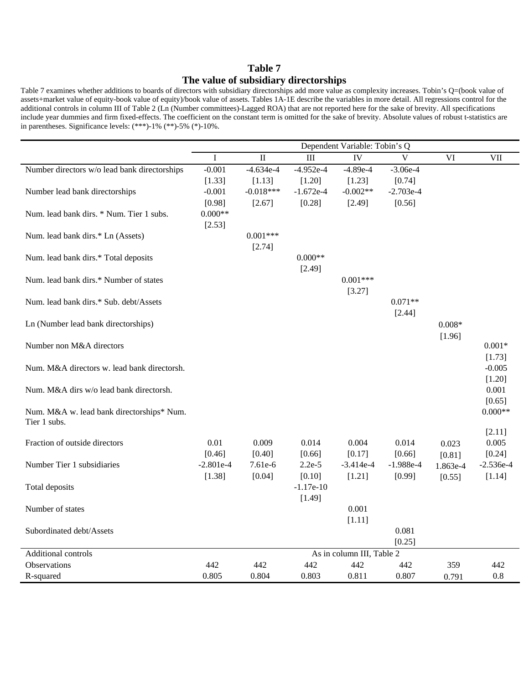# **Table 7 The value of subsidiary directorships**

Table 7 examines whether additions to boards of directors with subsidiary directorships add more value as complexity increases. Tobin's Q=(book value of assets+market value of equity-book value of equity)/book value of assets. Tables 1A-1E describe the variables in more detail. All regressions control for the additional controls in column III of Table 2 (Ln (Number committees)-Lagged ROA) that are not reported here for the sake of brevity. All specifications include year dummies and firm fixed-effects. The coefficient on the constant term is omitted for the sake of brevity. Absolute values of robust t-statistics are in parentheses. Significance levels: (\*\*\*)-1% (\*\*)-5% (\*)-10%.

|                                              |             |              |             | Dependent Variable: Tobin's Q |                         |          |             |
|----------------------------------------------|-------------|--------------|-------------|-------------------------------|-------------------------|----------|-------------|
|                                              | I           | $\mathbf{I}$ | III         | IV                            | $\overline{\mathbf{V}}$ | VI       | <b>VII</b>  |
| Number directors w/o lead bank directorships | $-0.001$    | $-4.634e-4$  | $-4.952e-4$ | $-4.89e-4$                    | $-3.06e-4$              |          |             |
|                                              | [1.33]      | [1.13]       | [1.20]      | [1.23]                        | [0.74]                  |          |             |
| Number lead bank directorships               | $-0.001$    | $-0.018***$  | $-1.672e-4$ | $-0.002**$                    | $-2.703e-4$             |          |             |
|                                              | [0.98]      | [2.67]       | [0.28]      | [2.49]                        | [0.56]                  |          |             |
| Num. lead bank dirs. * Num. Tier 1 subs.     | $0.000**$   |              |             |                               |                         |          |             |
|                                              | [2.53]      |              |             |                               |                         |          |             |
| Num. lead bank dirs.* Ln (Assets)            |             | $0.001***$   |             |                               |                         |          |             |
|                                              |             | [2.74]       |             |                               |                         |          |             |
| Num. lead bank dirs.* Total deposits         |             |              | $0.000**$   |                               |                         |          |             |
|                                              |             |              | [2.49]      |                               |                         |          |             |
| Num. lead bank dirs.* Number of states       |             |              |             | $0.001***$                    |                         |          |             |
|                                              |             |              |             | [3.27]                        |                         |          |             |
| Num. lead bank dirs.* Sub. debt/Assets       |             |              |             |                               | $0.071**$               |          |             |
|                                              |             |              |             |                               | [2.44]                  |          |             |
| Ln (Number lead bank directorships)          |             |              |             |                               |                         | $0.008*$ |             |
|                                              |             |              |             |                               |                         | [1.96]   |             |
| Number non M&A directors                     |             |              |             |                               |                         |          | $0.001*$    |
|                                              |             |              |             |                               |                         |          | [1.73]      |
| Num. M&A directors w. lead bank directorsh.  |             |              |             |                               |                         |          | $-0.005$    |
|                                              |             |              |             |                               |                         |          | [1.20]      |
| Num. M&A dirs w/o lead bank directorsh.      |             |              |             |                               |                         |          | 0.001       |
|                                              |             |              |             |                               |                         |          | [0.65]      |
| Num. M&A w. lead bank directorships* Num.    |             |              |             |                               |                         |          | $0.000**$   |
| Tier 1 subs.                                 |             |              |             |                               |                         |          |             |
|                                              |             |              |             |                               |                         |          | [2.11]      |
| Fraction of outside directors                | 0.01        | 0.009        | 0.014       | 0.004                         | 0.014                   | 0.023    | 0.005       |
|                                              | [0.46]      | [0.40]       | [0.66]      | [0.17]                        | [0.66]                  | [0.81]   | [0.24]      |
| Number Tier 1 subsidiaries                   | $-2.801e-4$ | 7.61e-6      | $2.2e-5$    | $-3.414e-4$                   | $-1.988e-4$             | 1.863e-4 | $-2.536e-4$ |
|                                              | [1.38]      | [0.04]       | [0.10]      | [1.21]                        | [0.99]                  | [0.55]   | [1.14]      |
| Total deposits                               |             |              | $-1.17e-10$ |                               |                         |          |             |
|                                              |             |              | [1.49]      |                               |                         |          |             |
| Number of states                             |             |              |             | 0.001                         |                         |          |             |
|                                              |             |              |             | [1.11]                        |                         |          |             |
| Subordinated debt/Assets                     |             |              |             |                               | 0.081                   |          |             |
|                                              |             |              |             |                               | [0.25]                  |          |             |
| Additional controls                          |             |              |             | As in column III, Table 2     |                         |          |             |
| Observations                                 | 442         | 442          | 442         | 442                           | 442                     | 359      | 442         |
| R-squared                                    | 0.805       | 0.804        | 0.803       | 0.811                         | 0.807                   | 0.791    | 0.8         |